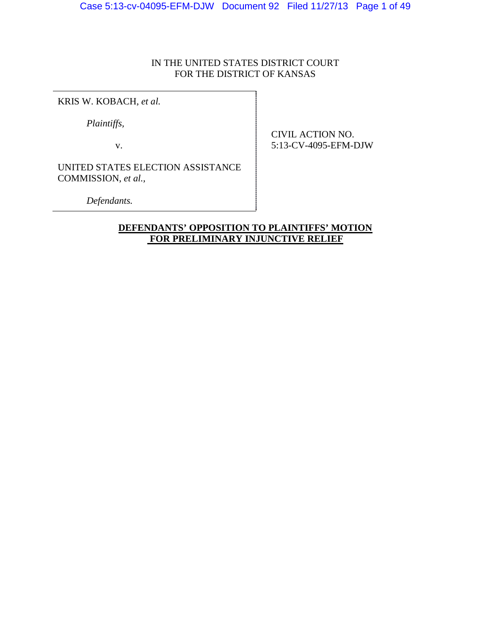# IN THE UNITED STATES DISTRICT COURT FOR THE DISTRICT OF KANSAS

KRIS W. KOBACH, *et al.*

*Plaintiffs,*

v.

CIVIL ACTION NO. 5:13-CV-4095-EFM-DJW

UNITED STATES ELECTION ASSISTANCE COMMISSION, *et al.,*

*Defendants.*

# **DEFENDANTS' OPPOSITION TO PLAINTIFFS' MOTION FOR PRELIMINARY INJUNCTIVE RELIEF**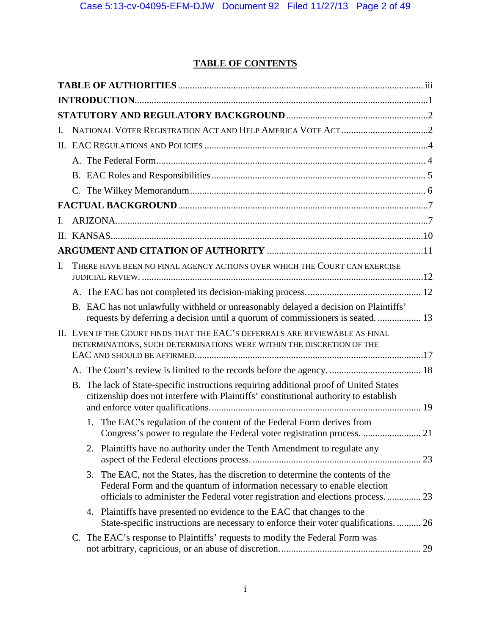# **TABLE OF CONTENTS**

| I.           |    |                                                                                                                                                                                                                                               |  |
|--------------|----|-----------------------------------------------------------------------------------------------------------------------------------------------------------------------------------------------------------------------------------------------|--|
|              |    |                                                                                                                                                                                                                                               |  |
|              |    |                                                                                                                                                                                                                                               |  |
|              |    |                                                                                                                                                                                                                                               |  |
|              |    |                                                                                                                                                                                                                                               |  |
|              |    |                                                                                                                                                                                                                                               |  |
| $\mathbf{L}$ |    |                                                                                                                                                                                                                                               |  |
|              |    |                                                                                                                                                                                                                                               |  |
|              |    |                                                                                                                                                                                                                                               |  |
| Ι.           |    | THERE HAVE BEEN NO FINAL AGENCY ACTIONS OVER WHICH THE COURT CAN EXERCISE                                                                                                                                                                     |  |
|              |    |                                                                                                                                                                                                                                               |  |
|              |    | B. EAC has not unlawfully withheld or unreasonably delayed a decision on Plaintiffs'                                                                                                                                                          |  |
|              |    | II. EVEN IF THE COURT FINDS THAT THE EAC'S DEFERRALS ARE REVIEWABLE AS FINAL<br>DETERMINATIONS, SUCH DETERMINATIONS WERE WITHIN THE DISCRETION OF THE                                                                                         |  |
|              |    |                                                                                                                                                                                                                                               |  |
|              |    | B. The lack of State-specific instructions requiring additional proof of United States<br>citizenship does not interfere with Plaintiffs' constitutional authority to establish                                                               |  |
|              | 1. | The EAC's regulation of the content of the Federal Form derives from                                                                                                                                                                          |  |
|              |    | 2. Plaintiffs have no authority under the Tenth Amendment to regulate any                                                                                                                                                                     |  |
|              | 3. | The EAC, not the States, has the discretion to determine the contents of the<br>Federal Form and the quantum of information necessary to enable election<br>officials to administer the Federal voter registration and elections process.  23 |  |
|              |    | 4. Plaintiffs have presented no evidence to the EAC that changes to the<br>State-specific instructions are necessary to enforce their voter qualifications.  26                                                                               |  |
|              |    | C. The EAC's response to Plaintiffs' requests to modify the Federal Form was                                                                                                                                                                  |  |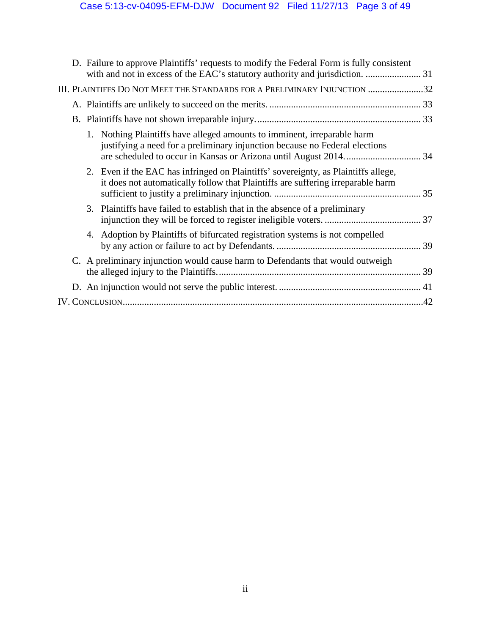|  | D. Failure to approve Plaintiffs' requests to modify the Federal Form is fully consistent                                                                             |  |
|--|-----------------------------------------------------------------------------------------------------------------------------------------------------------------------|--|
|  | III. PLAINTIFFS DO NOT MEET THE STANDARDS FOR A PRELIMINARY INJUNCTION 32                                                                                             |  |
|  |                                                                                                                                                                       |  |
|  |                                                                                                                                                                       |  |
|  | 1. Nothing Plaintiffs have alleged amounts to imminent, irreparable harm<br>justifying a need for a preliminary injunction because no Federal elections               |  |
|  | 2. Even if the EAC has infringed on Plaintiffs' sovereignty, as Plaintiffs allege,<br>it does not automatically follow that Plaintiffs are suffering irreparable harm |  |
|  | 3. Plaintiffs have failed to establish that in the absence of a preliminary                                                                                           |  |
|  | 4. Adoption by Plaintiffs of bifurcated registration systems is not compelled                                                                                         |  |
|  | C. A preliminary injunction would cause harm to Defendants that would outweigh                                                                                        |  |
|  |                                                                                                                                                                       |  |
|  |                                                                                                                                                                       |  |
|  |                                                                                                                                                                       |  |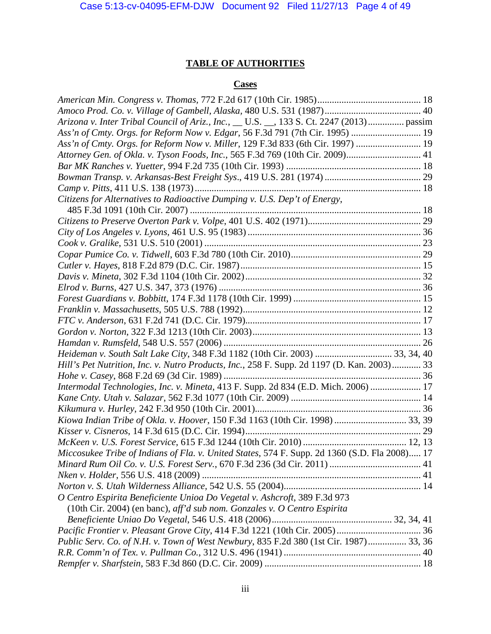# **TABLE OF AUTHORITIES**

# **Cases**

<span id="page-3-0"></span>

| Arizona v. Inter Tribal Council of Ariz., Inc., __ U.S. __, 133 S. Ct. 2247 (2013) passim     |  |
|-----------------------------------------------------------------------------------------------|--|
| Ass'n of Cmty. Orgs. for Reform Now v. Edgar, 56 F.3d 791 (7th Cir. 1995)  19                 |  |
| Ass'n of Cmty. Orgs. for Reform Now v. Miller, 129 F.3d 833 (6th Cir. 1997)                   |  |
| Attorney Gen. of Okla. v. Tyson Foods, Inc., 565 F.3d 769 (10th Cir. 2009) 41                 |  |
|                                                                                               |  |
|                                                                                               |  |
|                                                                                               |  |
| Citizens for Alternatives to Radioactive Dumping v. U.S. Dep't of Energy,                     |  |
|                                                                                               |  |
|                                                                                               |  |
|                                                                                               |  |
|                                                                                               |  |
|                                                                                               |  |
|                                                                                               |  |
|                                                                                               |  |
|                                                                                               |  |
|                                                                                               |  |
|                                                                                               |  |
|                                                                                               |  |
|                                                                                               |  |
|                                                                                               |  |
| Heideman v. South Salt Lake City, 348 F.3d 1182 (10th Cir. 2003)  33, 34, 40                  |  |
| Hill's Pet Nutrition, Inc. v. Nutro Products, Inc., 258 F. Supp. 2d 1197 (D. Kan. 2003) 33    |  |
|                                                                                               |  |
| Intermodal Technologies, Inc. v. Mineta, 413 F. Supp. 2d 834 (E.D. Mich. 2006)  17            |  |
|                                                                                               |  |
|                                                                                               |  |
|                                                                                               |  |
|                                                                                               |  |
|                                                                                               |  |
| Miccosukee Tribe of Indians of Fla. v. United States, 574 F. Supp. 2d 1360 (S.D. Fla 2008) 17 |  |
|                                                                                               |  |
|                                                                                               |  |
|                                                                                               |  |
| O Centro Espirita Beneficiente Unioa Do Vegetal v. Ashcroft, 389 F.3d 973                     |  |
| (10th Cir. 2004) (en banc), aff'd sub nom. Gonzales v. O Centro Espirita                      |  |
|                                                                                               |  |
|                                                                                               |  |
| Public Serv. Co. of N.H. v. Town of West Newbury, 835 F.2d 380 (1st Cir. 1987) 33, 36         |  |
|                                                                                               |  |
|                                                                                               |  |
|                                                                                               |  |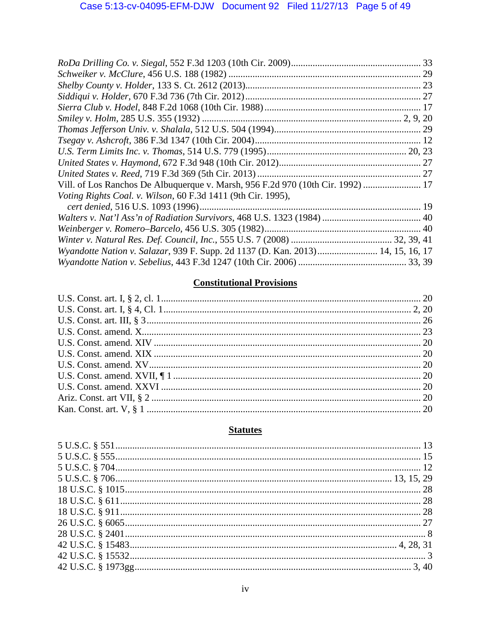| Vill. of Los Ranchos De Albuquerque v. Marsh, 956 F.2d 970 (10th Cir. 1992)  17 |  |
|---------------------------------------------------------------------------------|--|
| Voting Rights Coal. v. Wilson, 60 F.3d 1411 (9th Cir. 1995),                    |  |
|                                                                                 |  |
|                                                                                 |  |
|                                                                                 |  |
|                                                                                 |  |
| Wyandotte Nation v. Salazar, 939 F. Supp. 2d 1137 (D. Kan. 2013) 14, 15, 16, 17 |  |
|                                                                                 |  |

# **Constitutional Provisions**

# **Statutes**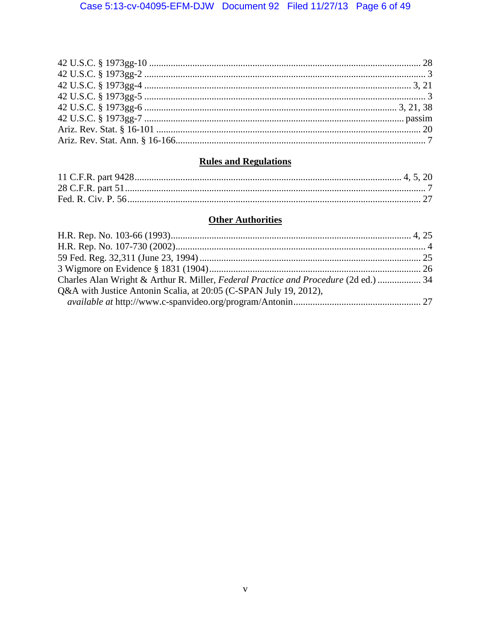# **Rules and Regulations**

# **Other Authorities**

| Charles Alan Wright & Arthur R. Miller, Federal Practice and Procedure (2d ed.)  34 |  |
|-------------------------------------------------------------------------------------|--|
| Q&A with Justice Antonin Scalia, at 20:05 (C-SPAN July 19, 2012),                   |  |
|                                                                                     |  |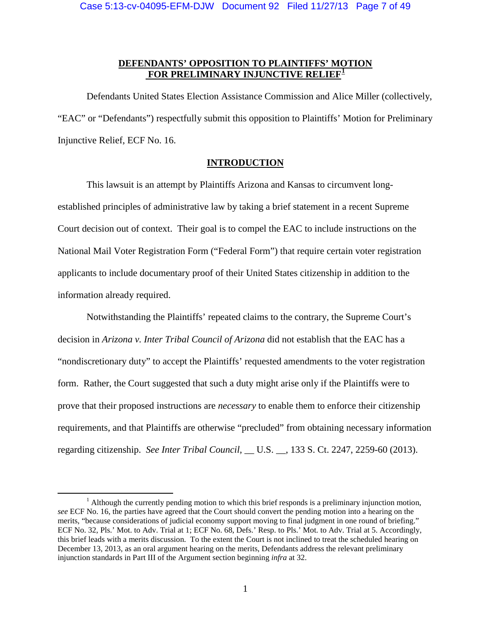# **DEFENDANTS' OPPOSITION TO PLAINTIFFS' MOTION FOR PRELIMINARY INJUNCTIVE RELIEF[1](#page-6-1)**

Defendants United States Election Assistance Commission and Alice Miller (collectively, "EAC" or "Defendants") respectfully submit this opposition to Plaintiffs' Motion for Preliminary Injunctive Relief, ECF No. 16.

# **INTRODUCTION**

<span id="page-6-0"></span>This lawsuit is an attempt by Plaintiffs Arizona and Kansas to circumvent longestablished principles of administrative law by taking a brief statement in a recent Supreme Court decision out of context. Their goal is to compel the EAC to include instructions on the National Mail Voter Registration Form ("Federal Form") that require certain voter registration applicants to include documentary proof of their United States citizenship in addition to the information already required.

Notwithstanding the Plaintiffs' repeated claims to the contrary, the Supreme Court's decision in *Arizona v. Inter Tribal Council of Arizona* did not establish that the EAC has a "nondiscretionary duty" to accept the Plaintiffs' requested amendments to the voter registration form. Rather, the Court suggested that such a duty might arise only if the Plaintiffs were to prove that their proposed instructions are *necessary* to enable them to enforce their citizenship requirements, and that Plaintiffs are otherwise "precluded" from obtaining necessary information regarding citizenship. *See Inter Tribal Council*, \_\_ U.S. \_\_, 133 S. Ct. 2247, 2259-60 (2013).

<span id="page-6-1"></span> $1$  Although the currently pending motion to which this brief responds is a preliminary injunction motion, *see* ECF No. 16, the parties have agreed that the Court should convert the pending motion into a hearing on the merits, "because considerations of judicial economy support moving to final judgment in one round of briefing." ECF No. 32, Pls.' Mot. to Adv. Trial at 1; ECF No. 68, Defs.' Resp. to Pls.' Mot. to Adv. Trial at 5. Accordingly, this brief leads with a merits discussion. To the extent the Court is not inclined to treat the scheduled hearing on December 13, 2013, as an oral argument hearing on the merits, Defendants address the relevant preliminary injunction standards in Part III of the Argument section beginning *infra* at [32.](#page-37-0)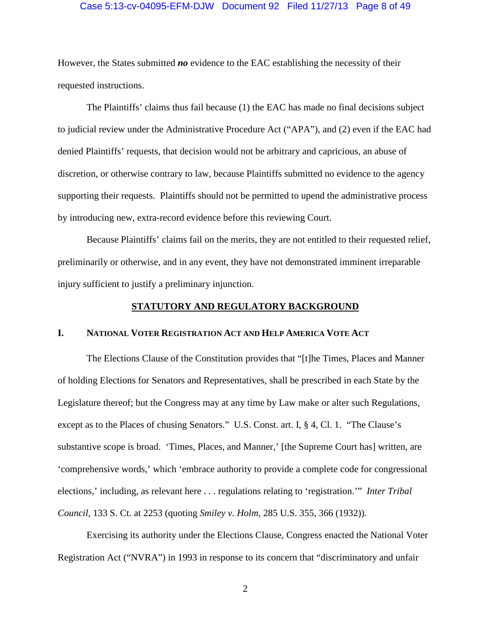### Case 5:13-cv-04095-EFM-DJW Document 92 Filed 11/27/13 Page 8 of 49

However, the States submitted *no* evidence to the EAC establishing the necessity of their requested instructions.

The Plaintiffs' claims thus fail because (1) the EAC has made no final decisions subject to judicial review under the Administrative Procedure Act ("APA"), and (2) even if the EAC had denied Plaintiffs' requests, that decision would not be arbitrary and capricious, an abuse of discretion, or otherwise contrary to law, because Plaintiffs submitted no evidence to the agency supporting their requests. Plaintiffs should not be permitted to upend the administrative process by introducing new, extra-record evidence before this reviewing Court.

Because Plaintiffs' claims fail on the merits, they are not entitled to their requested relief, preliminarily or otherwise, and in any event, they have not demonstrated imminent irreparable injury sufficient to justify a preliminary injunction.

## **STATUTORY AND REGULATORY BACKGROUND**

# <span id="page-7-1"></span><span id="page-7-0"></span>**I. NATIONAL VOTER REGISTRATION ACT AND HELP AMERICA VOTE ACT**

The Elections Clause of the Constitution provides that "[t]he Times, Places and Manner of holding Elections for Senators and Representatives, shall be prescribed in each State by the Legislature thereof; but the Congress may at any time by Law make or alter such Regulations, except as to the Places of chusing Senators." U.S. Const. art. I, § 4, Cl. 1. "The Clause's substantive scope is broad. 'Times, Places, and Manner,' [the Supreme Court has] written, are 'comprehensive words,' which 'embrace authority to provide a complete code for congressional elections,' including, as relevant here . . . regulations relating to 'registration.'" *Inter Tribal Council*, 133 S. Ct. at 2253 (quoting *Smiley v. Holm,* 285 U.S. 355, 366 (1932)).

Exercising its authority under the Elections Clause, Congress enacted the National Voter Registration Act ("NVRA") in 1993 in response to its concern that "discriminatory and unfair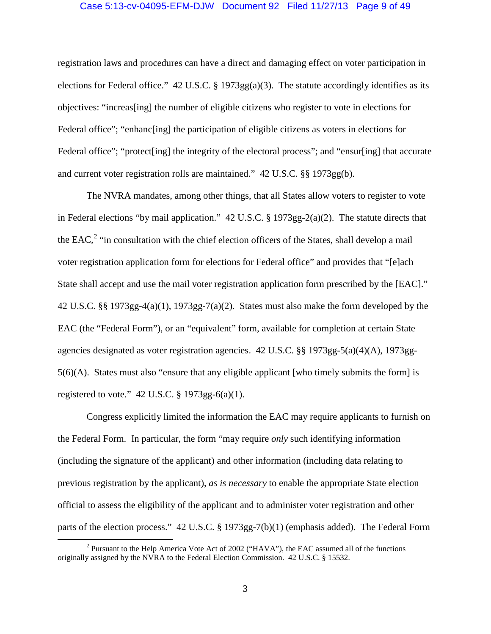### Case 5:13-cv-04095-EFM-DJW Document 92 Filed 11/27/13 Page 9 of 49

registration laws and procedures can have a direct and damaging effect on voter participation in elections for Federal office." 42 U.S.C. § 1973gg(a)(3). The statute accordingly identifies as its objectives: "increas[ing] the number of eligible citizens who register to vote in elections for Federal office"; "enhance ingl the participation of eligible citizens as voters in elections for Federal office"; "protect [ing] the integrity of the electoral process"; and "ensur[ing] that accurate and current voter registration rolls are maintained." 42 U.S.C. §§ 1973gg(b).

The NVRA mandates, among other things, that all States allow voters to register to vote in Federal elections "by mail application." 42 U.S.C. § 1973gg-2(a)(2). The statute directs that the EAC,<sup>[2](#page-8-0)</sup> "in consultation with the chief election officers of the States, shall develop a mail voter registration application form for elections for Federal office" and provides that "[e]ach State shall accept and use the mail voter registration application form prescribed by the [EAC]." 42 U.S.C. §§ 1973gg-4(a)(1), 1973gg-7(a)(2). States must also make the form developed by the EAC (the "Federal Form"), or an "equivalent" form, available for completion at certain State agencies designated as voter registration agencies. 42 U.S.C. §§ 1973gg-5(a)(4)(A), 1973gg-5(6)(A). States must also "ensure that any eligible applicant [who timely submits the form] is registered to vote."  $42$  U.S.C. § 1973gg-6(a)(1).

Congress explicitly limited the information the EAC may require applicants to furnish on the Federal Form. In particular, the form "may require *only* such identifying information (including the signature of the applicant) and other information (including data relating to previous registration by the applicant), *as is necessary* to enable the appropriate State election official to assess the eligibility of the applicant and to administer voter registration and other parts of the election process." 42 U.S.C. § 1973gg-7(b)(1) (emphasis added). The Federal Form

<span id="page-8-0"></span><sup>&</sup>lt;sup>2</sup> Pursuant to the Help America Vote Act of 2002 ("HAVA"), the EAC assumed all of the functions originally assigned by the NVRA to the Federal Election Commission. 42 U.S.C. § 15532.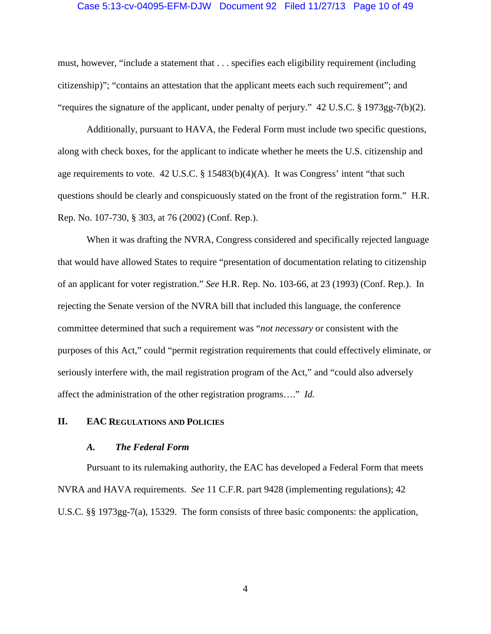### Case 5:13-cv-04095-EFM-DJW Document 92 Filed 11/27/13 Page 10 of 49

must, however, "include a statement that . . . specifies each eligibility requirement (including citizenship)"; "contains an attestation that the applicant meets each such requirement"; and "requires the signature of the applicant, under penalty of perjury." 42 U.S.C. § 1973gg-7(b)(2).

Additionally, pursuant to HAVA, the Federal Form must include two specific questions, along with check boxes, for the applicant to indicate whether he meets the U.S. citizenship and age requirements to vote. 42 U.S.C. § 15483(b)(4)(A). It was Congress' intent "that such questions should be clearly and conspicuously stated on the front of the registration form." H.R. Rep. No. 107-730, § 303, at 76 (2002) (Conf. Rep.).

When it was drafting the NVRA, Congress considered and specifically rejected language that would have allowed States to require "presentation of documentation relating to citizenship of an applicant for voter registration." *See* H.R. Rep. No. 103-66, at 23 (1993) (Conf. Rep.). In rejecting the Senate version of the NVRA bill that included this language, the conference committee determined that such a requirement was "*not necessary* or consistent with the purposes of this Act," could "permit registration requirements that could effectively eliminate, or seriously interfere with, the mail registration program of the Act," and "could also adversely affect the administration of the other registration programs…." *Id.* 

### <span id="page-9-0"></span>**II. EAC REGULATIONS AND POLICIES**

#### *A. The Federal Form*

<span id="page-9-1"></span>Pursuant to its rulemaking authority, the EAC has developed a Federal Form that meets NVRA and HAVA requirements. *See* 11 C.F.R. part 9428 (implementing regulations); 42 U.S.C. §§ 1973gg-7(a), 15329. The form consists of three basic components: the application,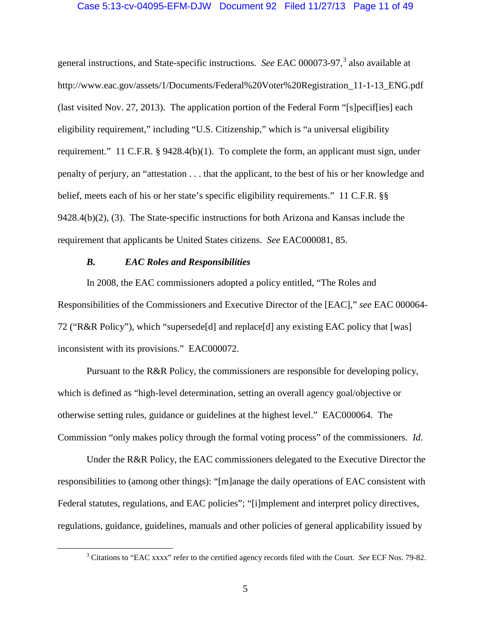### Case 5:13-cv-04095-EFM-DJW Document 92 Filed 11/27/13 Page 11 of 49

general instructions, and State-specific instructions. *See* EAC 000073-97, [3](#page-10-1) also available at http://www.eac.gov/assets/1/Documents/Federal%20Voter%20Registration\_11-1-13\_ENG.pdf (last visited Nov. 27, 2013). The application portion of the Federal Form "[s]pecif[ies] each eligibility requirement," including "U.S. Citizenship," which is "a universal eligibility requirement." 11 C.F.R. § 9428.4(b)(1). To complete the form, an applicant must sign, under penalty of perjury, an "attestation . . . that the applicant, to the best of his or her knowledge and belief, meets each of his or her state's specific eligibility requirements." 11 C.F.R. §§ 9428.4(b)(2), (3). The State-specific instructions for both Arizona and Kansas include the requirement that applicants be United States citizens. *See* EAC000081, 85.

# <span id="page-10-0"></span>*B. EAC Roles and Responsibilities*

In 2008, the EAC commissioners adopted a policy entitled, "The Roles and Responsibilities of the Commissioners and Executive Director of the [EAC]," *see* EAC 000064- 72 ("R&R Policy"), which "supersede[d] and replace[d] any existing EAC policy that [was] inconsistent with its provisions." EAC000072.

Pursuant to the R&R Policy, the commissioners are responsible for developing policy, which is defined as "high-level determination, setting an overall agency goal/objective or otherwise setting rules, guidance or guidelines at the highest level." EAC000064. The Commission "only makes policy through the formal voting process" of the commissioners. *Id.*

Under the R&R Policy, the EAC commissioners delegated to the Executive Director the responsibilities to (among other things): "[m]anage the daily operations of EAC consistent with Federal statutes, regulations, and EAC policies"; "[i]mplement and interpret policy directives, regulations, guidance, guidelines, manuals and other policies of general applicability issued by

<span id="page-10-1"></span> <sup>3</sup> Citations to "EAC xxxx" refer to the certified agency records filed with the Court. *See* ECF Nos. 79-82.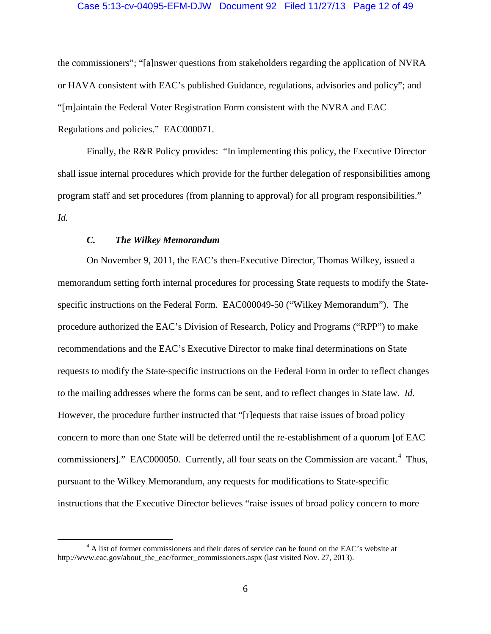### Case 5:13-cv-04095-EFM-DJW Document 92 Filed 11/27/13 Page 12 of 49

the commissioners"; "[a]nswer questions from stakeholders regarding the application of NVRA or HAVA consistent with EAC's published Guidance, regulations, advisories and policy"; and "[m]aintain the Federal Voter Registration Form consistent with the NVRA and EAC Regulations and policies." EAC000071.

Finally, the R&R Policy provides: "In implementing this policy, the Executive Director shall issue internal procedures which provide for the further delegation of responsibilities among program staff and set procedures (from planning to approval) for all program responsibilities." *Id.*

# *C. The Wilkey Memorandum*

<span id="page-11-0"></span>On November 9, 2011, the EAC's then-Executive Director, Thomas Wilkey, issued a memorandum setting forth internal procedures for processing State requests to modify the Statespecific instructions on the Federal Form. EAC000049-50 ("Wilkey Memorandum"). The procedure authorized the EAC's Division of Research, Policy and Programs ("RPP") to make recommendations and the EAC's Executive Director to make final determinations on State requests to modify the State-specific instructions on the Federal Form in order to reflect changes to the mailing addresses where the forms can be sent, and to reflect changes in State law. *Id.* However, the procedure further instructed that "[r]equests that raise issues of broad policy concern to more than one State will be deferred until the re-establishment of a quorum [of EAC commissioners]." EAC000050. Currently, all four seats on the Commission are vacant.<sup>[4](#page-11-1)</sup> Thus, pursuant to the Wilkey Memorandum, any requests for modifications to State-specific instructions that the Executive Director believes "raise issues of broad policy concern to more

<span id="page-11-1"></span><sup>&</sup>lt;sup>4</sup> A list of former commissioners and their dates of service can be found on the EAC's website at http://www.eac.gov/about the eac/former commissioners.aspx (last visited Nov. 27, 2013).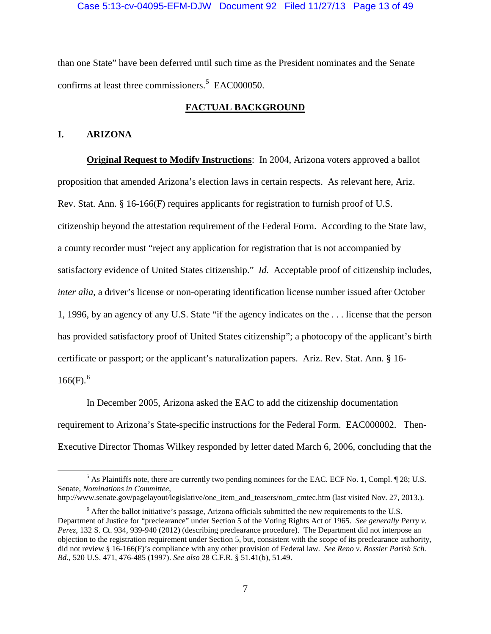than one State" have been deferred until such time as the President nominates and the Senate confirms at least three commissioners.<sup>[5](#page-12-2)</sup> EAC000050.

# **FACTUAL BACKGROUND**

## <span id="page-12-1"></span><span id="page-12-0"></span>**I. ARIZONA**

**Original Request to Modify Instructions**: In 2004, Arizona voters approved a ballot proposition that amended Arizona's election laws in certain respects. As relevant here, Ariz. Rev. Stat. Ann. § 16-166(F) requires applicants for registration to furnish proof of U.S. citizenship beyond the attestation requirement of the Federal Form. According to the State law, a county recorder must "reject any application for registration that is not accompanied by satisfactory evidence of United States citizenship." *Id.* Acceptable proof of citizenship includes, *inter alia*, a driver's license or non-operating identification license number issued after October 1, 1996, by an agency of any U.S. State "if the agency indicates on the . . . license that the person has provided satisfactory proof of United States citizenship"; a photocopy of the applicant's birth certificate or passport; or the applicant's naturalization papers. Ariz. Rev. Stat. Ann. § 16-  $166(F).$  $166(F).$  $166(F).$ <sup>6</sup>

In December 2005, Arizona asked the EAC to add the citizenship documentation requirement to Arizona's State-specific instructions for the Federal Form. EAC000002. Then-Executive Director Thomas Wilkey responded by letter dated March 6, 2006, concluding that the

<span id="page-12-2"></span> <sup>5</sup> As Plaintiffs note, there are currently two pending nominees for the EAC. ECF No. 1, Compl. ¶ 28; U.S. Senate, *Nominations in Committee*, http://www.senate.gov/pagelayout/legislative/one\_item\_and\_teasers/nom\_cmtec.htm (last visited Nov. 27, 2013.).

<span id="page-12-3"></span> $<sup>6</sup>$  After the ballot initiative's passage, Arizona officials submitted the new requirements to the U.S.</sup> Department of Justice for "preclearance" under Section 5 of the Voting Rights Act of 1965. *See generally Perry v. Perez*, 132 S. Ct. 934, 939-940 (2012) (describing preclearance procedure). The Department did not interpose an objection to the registration requirement under Section 5, but, consistent with the scope of its preclearance authority, did not review § 16-166(F)'s compliance with any other provision of Federal law. *See Reno v. Bossier Parish Sch. Bd*., 520 U.S. 471, 476-485 (1997). *See also* 28 C.F.R. § 51.41(b), 51.49.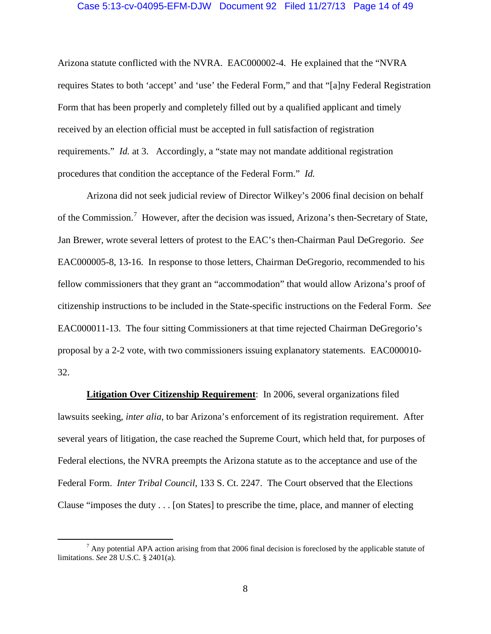### Case 5:13-cv-04095-EFM-DJW Document 92 Filed 11/27/13 Page 14 of 49

Arizona statute conflicted with the NVRA. EAC000002-4. He explained that the "NVRA requires States to both 'accept' and 'use' the Federal Form," and that "[a]ny Federal Registration Form that has been properly and completely filled out by a qualified applicant and timely received by an election official must be accepted in full satisfaction of registration requirements." *Id.* at 3. Accordingly, a "state may not mandate additional registration procedures that condition the acceptance of the Federal Form." *Id.*

Arizona did not seek judicial review of Director Wilkey's 2006 final decision on behalf of the Commission.<sup>[7](#page-13-0)</sup> However, after the decision was issued, Arizona's then-Secretary of State, Jan Brewer, wrote several letters of protest to the EAC's then-Chairman Paul DeGregorio. *See*  EAC000005-8, 13-16. In response to those letters, Chairman DeGregorio, recommended to his fellow commissioners that they grant an "accommodation" that would allow Arizona's proof of citizenship instructions to be included in the State-specific instructions on the Federal Form. *See*  EAC000011-13. The four sitting Commissioners at that time rejected Chairman DeGregorio's proposal by a 2-2 vote, with two commissioners issuing explanatory statements. EAC000010- 32.

**Litigation Over Citizenship Requirement**: In 2006, several organizations filed lawsuits seeking, *inter alia*, to bar Arizona's enforcement of its registration requirement. After several years of litigation, the case reached the Supreme Court, which held that, for purposes of Federal elections, the NVRA preempts the Arizona statute as to the acceptance and use of the Federal Form. *Inter Tribal Council*, 133 S. Ct. 2247. The Court observed that the Elections Clause "imposes the duty . . . [on States] to prescribe the time, place, and manner of electing

<span id="page-13-0"></span> $<sup>7</sup>$  Any potential APA action arising from that 2006 final decision is foreclosed by the applicable statute of</sup> limitations. *See* 28 U.S.C. § 2401(a).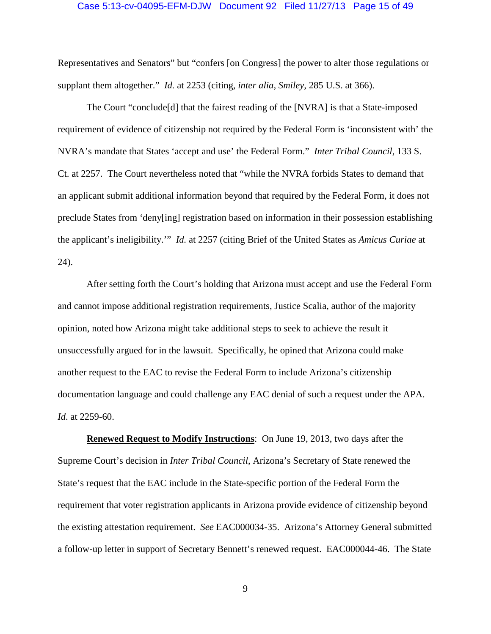#### Case 5:13-cv-04095-EFM-DJW Document 92 Filed 11/27/13 Page 15 of 49

Representatives and Senators" but "confers [on Congress] the power to alter those regulations or supplant them altogether." *Id.* at 2253 (citing, *inter alia, Smiley,* 285 U.S. at 366).

The Court "conclude[d] that the fairest reading of the [NVRA] is that a State-imposed requirement of evidence of citizenship not required by the Federal Form is 'inconsistent with' the NVRA's mandate that States 'accept and use' the Federal Form." *Inter Tribal Council*, 133 S. Ct. at 2257. The Court nevertheless noted that "while the NVRA forbids States to demand that an applicant submit additional information beyond that required by the Federal Form, it does not preclude States from 'deny[ing] registration based on information in their possession establishing the applicant's ineligibility.'" *Id.* at 2257 (citing Brief of the United States as *Amicus Curiae* at 24).

After setting forth the Court's holding that Arizona must accept and use the Federal Form and cannot impose additional registration requirements, Justice Scalia, author of the majority opinion, noted how Arizona might take additional steps to seek to achieve the result it unsuccessfully argued for in the lawsuit. Specifically, he opined that Arizona could make another request to the EAC to revise the Federal Form to include Arizona's citizenship documentation language and could challenge any EAC denial of such a request under the APA. *Id*. at 2259-60.

**Renewed Request to Modify Instructions**: On June 19, 2013, two days after the Supreme Court's decision in *Inter Tribal Council*, Arizona's Secretary of State renewed the State's request that the EAC include in the State-specific portion of the Federal Form the requirement that voter registration applicants in Arizona provide evidence of citizenship beyond the existing attestation requirement. *See* EAC000034-35. Arizona's Attorney General submitted a follow-up letter in support of Secretary Bennett's renewed request. EAC000044-46. The State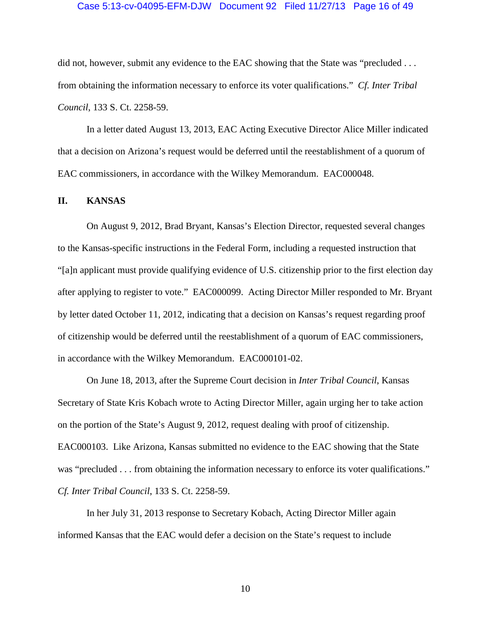### Case 5:13-cv-04095-EFM-DJW Document 92 Filed 11/27/13 Page 16 of 49

did not, however, submit any evidence to the EAC showing that the State was "precluded . . . from obtaining the information necessary to enforce its voter qualifications." *Cf. Inter Tribal Council*, 133 S. Ct. 2258-59.

In a letter dated August 13, 2013, EAC Acting Executive Director Alice Miller indicated that a decision on Arizona's request would be deferred until the reestablishment of a quorum of EAC commissioners, in accordance with the Wilkey Memorandum. EAC000048.

### <span id="page-15-0"></span>**II. KANSAS**

On August 9, 2012, Brad Bryant, Kansas's Election Director, requested several changes to the Kansas-specific instructions in the Federal Form, including a requested instruction that "[a]n applicant must provide qualifying evidence of U.S. citizenship prior to the first election day after applying to register to vote." EAC000099. Acting Director Miller responded to Mr. Bryant by letter dated October 11, 2012, indicating that a decision on Kansas's request regarding proof of citizenship would be deferred until the reestablishment of a quorum of EAC commissioners, in accordance with the Wilkey Memorandum. EAC000101-02.

On June 18, 2013, after the Supreme Court decision in *Inter Tribal Council*, Kansas Secretary of State Kris Kobach wrote to Acting Director Miller, again urging her to take action on the portion of the State's August 9, 2012, request dealing with proof of citizenship. EAC000103. Like Arizona, Kansas submitted no evidence to the EAC showing that the State was "precluded . . . from obtaining the information necessary to enforce its voter qualifications." *Cf. Inter Tribal Council*, 133 S. Ct. 2258-59.

In her July 31, 2013 response to Secretary Kobach, Acting Director Miller again informed Kansas that the EAC would defer a decision on the State's request to include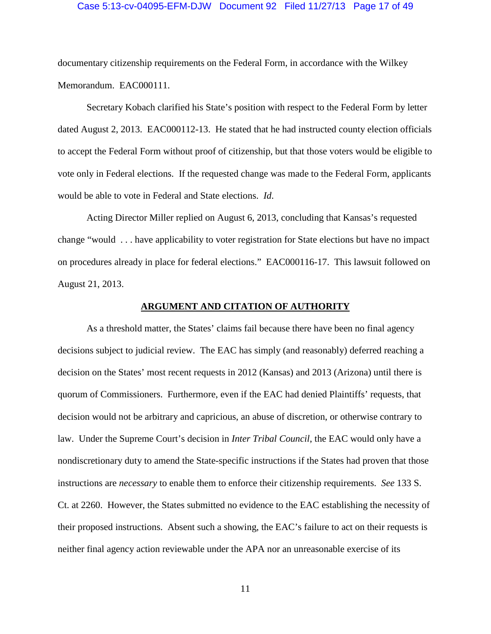#### Case 5:13-cv-04095-EFM-DJW Document 92 Filed 11/27/13 Page 17 of 49

documentary citizenship requirements on the Federal Form, in accordance with the Wilkey Memorandum. EAC000111.

Secretary Kobach clarified his State's position with respect to the Federal Form by letter dated August 2, 2013. EAC000112-13. He stated that he had instructed county election officials to accept the Federal Form without proof of citizenship, but that those voters would be eligible to vote only in Federal elections. If the requested change was made to the Federal Form, applicants would be able to vote in Federal and State elections. *Id*.

Acting Director Miller replied on August 6, 2013, concluding that Kansas's requested change "would . . . have applicability to voter registration for State elections but have no impact on procedures already in place for federal elections." EAC000116-17. This lawsuit followed on August 21, 2013.

#### **ARGUMENT AND CITATION OF AUTHORITY**

<span id="page-16-0"></span>As a threshold matter, the States' claims fail because there have been no final agency decisions subject to judicial review. The EAC has simply (and reasonably) deferred reaching a decision on the States' most recent requests in 2012 (Kansas) and 2013 (Arizona) until there is quorum of Commissioners. Furthermore, even if the EAC had denied Plaintiffs' requests, that decision would not be arbitrary and capricious, an abuse of discretion, or otherwise contrary to law. Under the Supreme Court's decision in *Inter Tribal Council*, the EAC would only have a nondiscretionary duty to amend the State-specific instructions if the States had proven that those instructions are *necessary* to enable them to enforce their citizenship requirements. *See* 133 S. Ct. at 2260. However, the States submitted no evidence to the EAC establishing the necessity of their proposed instructions. Absent such a showing, the EAC's failure to act on their requests is neither final agency action reviewable under the APA nor an unreasonable exercise of its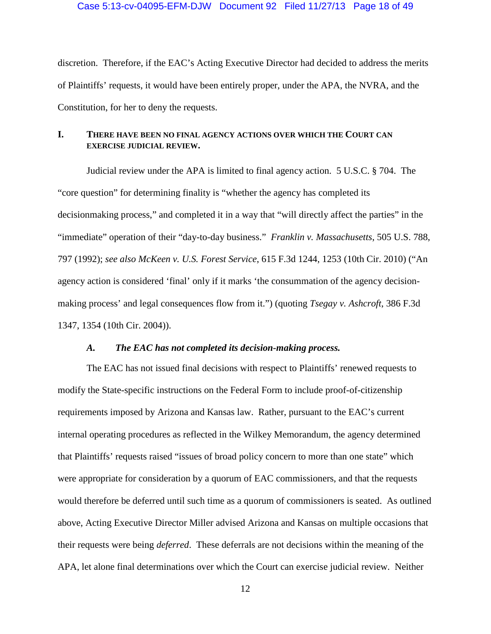### Case 5:13-cv-04095-EFM-DJW Document 92 Filed 11/27/13 Page 18 of 49

discretion. Therefore, if the EAC's Acting Executive Director had decided to address the merits of Plaintiffs' requests, it would have been entirely proper, under the APA, the NVRA, and the Constitution, for her to deny the requests.

# <span id="page-17-0"></span>**I. THERE HAVE BEEN NO FINAL AGENCY ACTIONS OVER WHICH THE COURT CAN EXERCISE JUDICIAL REVIEW.**

Judicial review under the APA is limited to final agency action. 5 U.S.C. § 704. The "core question" for determining finality is "whether the agency has completed its decisionmaking process," and completed it in a way that "will directly affect the parties" in the "immediate" operation of their "day-to-day business." *Franklin v. Massachusetts*, 505 U.S. 788, 797 (1992); *see also McKeen v. U.S. Forest Service*, 615 F.3d 1244, 1253 (10th Cir. 2010) ("An agency action is considered 'final' only if it marks 'the consummation of the agency decisionmaking process' and legal consequences flow from it.") (quoting *Tsegay v. Ashcroft*, 386 F.3d 1347, 1354 (10th Cir. 2004)).

## *A. The EAC has not completed its decision-making process.*

<span id="page-17-1"></span>The EAC has not issued final decisions with respect to Plaintiffs' renewed requests to modify the State-specific instructions on the Federal Form to include proof-of-citizenship requirements imposed by Arizona and Kansas law. Rather, pursuant to the EAC's current internal operating procedures as reflected in the Wilkey Memorandum, the agency determined that Plaintiffs' requests raised "issues of broad policy concern to more than one state" which were appropriate for consideration by a quorum of EAC commissioners, and that the requests would therefore be deferred until such time as a quorum of commissioners is seated. As outlined above, Acting Executive Director Miller advised Arizona and Kansas on multiple occasions that their requests were being *deferred*. These deferrals are not decisions within the meaning of the APA, let alone final determinations over which the Court can exercise judicial review. Neither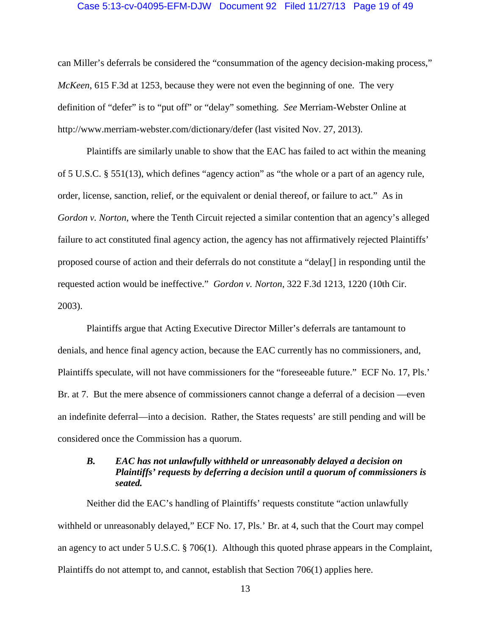### Case 5:13-cv-04095-EFM-DJW Document 92 Filed 11/27/13 Page 19 of 49

can Miller's deferrals be considered the "consummation of the agency decision-making process," *McKeen*, 615 F.3d at 1253, because they were not even the beginning of one. The very definition of "defer" is to "put off" or "delay" something. *See* Merriam-Webster Online at http://www.merriam-webster.com/dictionary/defer (last visited Nov. 27, 2013).

Plaintiffs are similarly unable to show that the EAC has failed to act within the meaning of 5 U.S.C. § 551(13), which defines "agency action" as "the whole or a part of an agency rule, order, license, sanction, relief, or the equivalent or denial thereof, or failure to act." As in *Gordon v. Norton*, where the Tenth Circuit rejected a similar contention that an agency's alleged failure to act constituted final agency action, the agency has not affirmatively rejected Plaintiffs' proposed course of action and their deferrals do not constitute a "delay[] in responding until the requested action would be ineffective." *Gordon v. Norton*, 322 F.3d 1213, 1220 (10th Cir. 2003).

Plaintiffs argue that Acting Executive Director Miller's deferrals are tantamount to denials, and hence final agency action, because the EAC currently has no commissioners, and, Plaintiffs speculate, will not have commissioners for the "foreseeable future." ECF No. 17, Pls.' Br. at 7. But the mere absence of commissioners cannot change a deferral of a decision —even an indefinite deferral—into a decision. Rather, the States requests' are still pending and will be considered once the Commission has a quorum.

# <span id="page-18-0"></span>*B. EAC has not unlawfully withheld or unreasonably delayed a decision on Plaintiffs' requests by deferring a decision until a quorum of commissioners is seated.*

Neither did the EAC's handling of Plaintiffs' requests constitute "action unlawfully withheld or unreasonably delayed," ECF No. 17, Pls.' Br. at 4, such that the Court may compel an agency to act under 5 U.S.C. § 706(1). Although this quoted phrase appears in the Complaint, Plaintiffs do not attempt to, and cannot, establish that Section 706(1) applies here.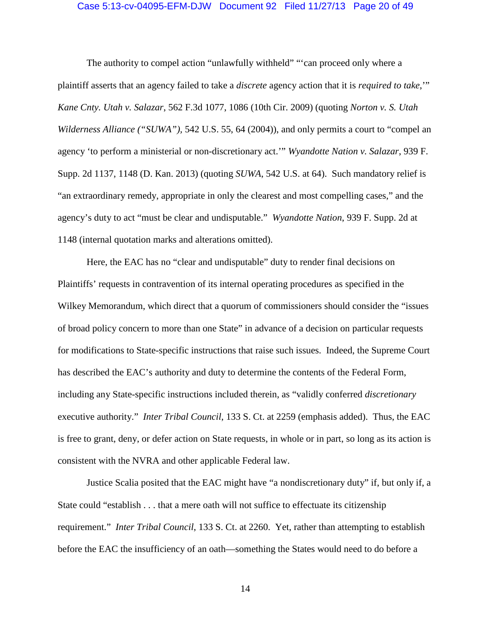### Case 5:13-cv-04095-EFM-DJW Document 92 Filed 11/27/13 Page 20 of 49

The authority to compel action "unlawfully withheld" "'can proceed only where a plaintiff asserts that an agency failed to take a *discrete* agency action that it is *required to take*,'" *Kane Cnty. Utah v. Salazar*, 562 F.3d 1077, 1086 (10th Cir. 2009) (quoting *Norton v. S. Utah Wilderness Alliance* ("SUWA"), 542 U.S. 55, 64 (2004)), and only permits a court to "compel an agency 'to perform a ministerial or non-discretionary act.'" *Wyandotte Nation v. Salazar*, 939 F. Supp. 2d 1137, 1148 (D. Kan. 2013) (quoting *SUWA*, 542 U.S. at 64). Such mandatory relief is "an extraordinary remedy, appropriate in only the clearest and most compelling cases," and the agency's duty to act "must be clear and undisputable." *Wyandotte Nation*, 939 F. Supp. 2d at 1148 (internal quotation marks and alterations omitted).

Here, the EAC has no "clear and undisputable" duty to render final decisions on Plaintiffs' requests in contravention of its internal operating procedures as specified in the Wilkey Memorandum, which direct that a quorum of commissioners should consider the "issues of broad policy concern to more than one State" in advance of a decision on particular requests for modifications to State-specific instructions that raise such issues. Indeed, the Supreme Court has described the EAC's authority and duty to determine the contents of the Federal Form, including any State-specific instructions included therein, as "validly conferred *discretionary* executive authority." *Inter Tribal Council*, 133 S. Ct. at 2259 (emphasis added). Thus, the EAC is free to grant, deny, or defer action on State requests, in whole or in part, so long as its action is consistent with the NVRA and other applicable Federal law.

Justice Scalia posited that the EAC might have "a nondiscretionary duty" if, but only if, a State could "establish . . . that a mere oath will not suffice to effectuate its citizenship requirement." *Inter Tribal Council*, 133 S. Ct. at 2260. Yet, rather than attempting to establish before the EAC the insufficiency of an oath—something the States would need to do before a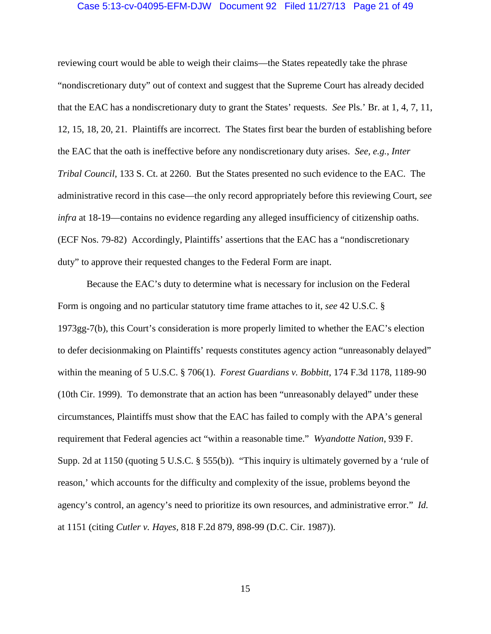### Case 5:13-cv-04095-EFM-DJW Document 92 Filed 11/27/13 Page 21 of 49

reviewing court would be able to weigh their claims—the States repeatedly take the phrase "nondiscretionary duty" out of context and suggest that the Supreme Court has already decided that the EAC has a nondiscretionary duty to grant the States' requests. *See* Pls.' Br. at 1, 4, 7, 11, 12, 15, 18, 20, 21. Plaintiffs are incorrect. The States first bear the burden of establishing before the EAC that the oath is ineffective before any nondiscretionary duty arises. *See, e.g.*, *Inter Tribal Council*, 133 S. Ct. at 2260. But the States presented no such evidence to the EAC. The administrative record in this case—the only record appropriately before this reviewing Court, *see infra* at [18](#page-23-0)[-19—](#page-24-0)contains no evidence regarding any alleged insufficiency of citizenship oaths. (ECF Nos. 79-82) Accordingly, Plaintiffs' assertions that the EAC has a "nondiscretionary duty" to approve their requested changes to the Federal Form are inapt.

Because the EAC's duty to determine what is necessary for inclusion on the Federal Form is ongoing and no particular statutory time frame attaches to it, *see* 42 U.S.C. § 1973gg-7(b), this Court's consideration is more properly limited to whether the EAC's election to defer decisionmaking on Plaintiffs' requests constitutes agency action "unreasonably delayed" within the meaning of 5 U.S.C. § 706(1). *Forest Guardians v. Bobbitt*, 174 F.3d 1178, 1189-90 (10th Cir. 1999). To demonstrate that an action has been "unreasonably delayed" under these circumstances, Plaintiffs must show that the EAC has failed to comply with the APA's general requirement that Federal agencies act "within a reasonable time." *Wyandotte Nation*, 939 F. Supp. 2d at 1150 (quoting 5 U.S.C. § 555(b)). "This inquiry is ultimately governed by a 'rule of reason,' which accounts for the difficulty and complexity of the issue, problems beyond the agency's control, an agency's need to prioritize its own resources, and administrative error." *Id.* at 1151 (citing *Cutler v. Hayes,* 818 F.2d 879, 898-99 (D.C. Cir. 1987)).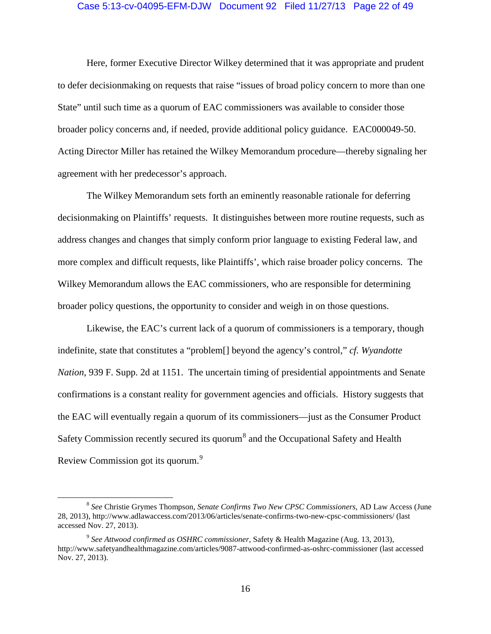#### Case 5:13-cv-04095-EFM-DJW Document 92 Filed 11/27/13 Page 22 of 49

Here, former Executive Director Wilkey determined that it was appropriate and prudent to defer decisionmaking on requests that raise "issues of broad policy concern to more than one State" until such time as a quorum of EAC commissioners was available to consider those broader policy concerns and, if needed, provide additional policy guidance. EAC000049-50. Acting Director Miller has retained the Wilkey Memorandum procedure—thereby signaling her agreement with her predecessor's approach.

The Wilkey Memorandum sets forth an eminently reasonable rationale for deferring decisionmaking on Plaintiffs' requests. It distinguishes between more routine requests, such as address changes and changes that simply conform prior language to existing Federal law, and more complex and difficult requests, like Plaintiffs', which raise broader policy concerns. The Wilkey Memorandum allows the EAC commissioners, who are responsible for determining broader policy questions, the opportunity to consider and weigh in on those questions.

Likewise, the EAC's current lack of a quorum of commissioners is a temporary, though indefinite, state that constitutes a "problem[] beyond the agency's control," *cf. Wyandotte Nation*, 939 F. Supp. 2d at 1151. The uncertain timing of presidential appointments and Senate confirmations is a constant reality for government agencies and officials. History suggests that the EAC will eventually regain a quorum of its commissioners—just as the Consumer Product Safety Commission recently secured its quorum<sup>[8](#page-21-0)</sup> and the Occupational Safety and Health Review Commission got its quorum.<sup>[9](#page-21-1)</sup>

<span id="page-21-0"></span> <sup>8</sup> *See* Christie Grymes Thompson, *Senate Confirms Two New CPSC Commissioners*, AD Law Access (June 28, 2013), http://www.adlawaccess.com/2013/06/articles/senate-confirms-two-new-cpsc-commissioners/ (last accessed Nov. 27, 2013).

<span id="page-21-1"></span><sup>9</sup> *See Attwood confirmed as OSHRC commissioner*, Safety & Health Magazine (Aug. 13, 2013), http://www.safetyandhealthmagazine.com/articles/9087-attwood-confirmed-as-oshrc-commissioner (last accessed Nov. 27, 2013).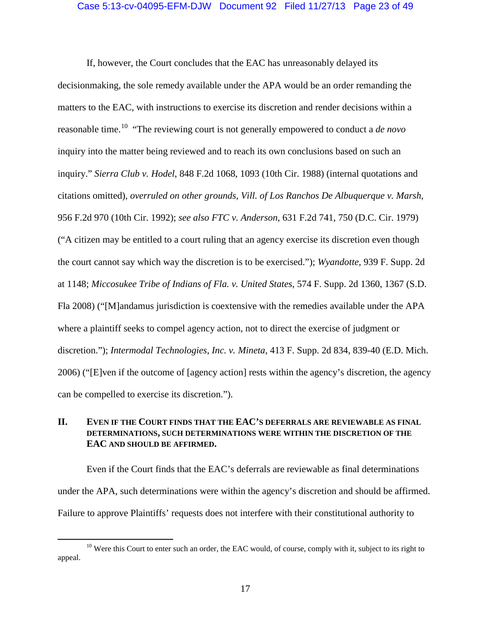### Case 5:13-cv-04095-EFM-DJW Document 92 Filed 11/27/13 Page 23 of 49

If, however, the Court concludes that the EAC has unreasonably delayed its decisionmaking, the sole remedy available under the APA would be an order remanding the matters to the EAC, with instructions to exercise its discretion and render decisions within a reasonable time. [10](#page-22-1) "The reviewing court is not generally empowered to conduct a *de novo* inquiry into the matter being reviewed and to reach its own conclusions based on such an inquiry." *Sierra Club v. Hodel*, 848 F.2d 1068, 1093 (10th Cir. 1988) (internal quotations and citations omitted), *overruled on other grounds, Vill. of Los Ranchos De Albuquerque v. Marsh*, 956 F.2d 970 (10th Cir. 1992); *see also FTC v. Anderson*, 631 F.2d 741, 750 (D.C. Cir. 1979) ("A citizen may be entitled to a court ruling that an agency exercise its discretion even though the court cannot say which way the discretion is to be exercised."); *Wyandotte*, 939 F. Supp. 2d at 1148; *Miccosukee Tribe of Indians of Fla. v. United States*, 574 F. Supp. 2d 1360, 1367 (S.D. Fla 2008) ("[M]andamus jurisdiction is coextensive with the remedies available under the APA where a plaintiff seeks to compel agency action, not to direct the exercise of judgment or discretion."); *Intermodal Technologies, Inc. v. Mineta*, 413 F. Supp. 2d 834, 839-40 (E.D. Mich. 2006) ("[E]ven if the outcome of [agency action] rests within the agency's discretion, the agency can be compelled to exercise its discretion.").

# <span id="page-22-0"></span>**II. EVEN IF THE COURT FINDS THAT THE EAC'S DEFERRALS ARE REVIEWABLE AS FINAL DETERMINATIONS, SUCH DETERMINATIONS WERE WITHIN THE DISCRETION OF THE EAC AND SHOULD BE AFFIRMED.**

Even if the Court finds that the EAC's deferrals are reviewable as final determinations under the APA, such determinations were within the agency's discretion and should be affirmed. Failure to approve Plaintiffs' requests does not interfere with their constitutional authority to

<span id="page-22-1"></span><sup>&</sup>lt;sup>10</sup> Were this Court to enter such an order, the EAC would, of course, comply with it, subject to its right to appeal.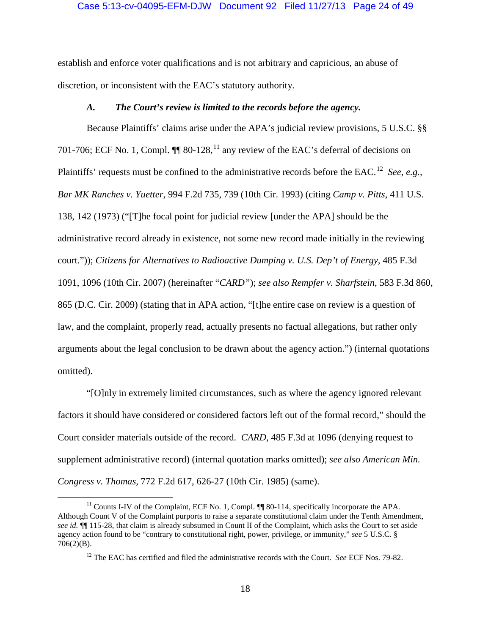#### Case 5:13-cv-04095-EFM-DJW Document 92 Filed 11/27/13 Page 24 of 49

establish and enforce voter qualifications and is not arbitrary and capricious, an abuse of discretion, or inconsistent with the EAC's statutory authority.

# *A. The Court's review is limited to the records before the agency.*

<span id="page-23-0"></span>Because Plaintiffs' claims arise under the APA's judicial review provisions, 5 U.S.C. §§ 701-706; ECF No. 1, Compl.  $\P\P$  80-128,<sup>[11](#page-23-1)</sup> any review of the EAC's deferral of decisions on Plaintiffs' requests must be confined to the administrative records before the EAC.<sup>[12](#page-23-2)</sup> See, e.g., *Bar MK Ranches v. Yuetter*, 994 F.2d 735, 739 (10th Cir. 1993) (citing *Camp v. Pitts*, 411 U.S. 138, 142 (1973) ("[T]he focal point for judicial review [under the APA] should be the administrative record already in existence, not some new record made initially in the reviewing court.")); *Citizens for Alternatives to Radioactive Dumping v. U.S. Dep't of Energy*, 485 F.3d 1091, 1096 (10th Cir. 2007) (hereinafter "*CARD"*); *see also Rempfer v. Sharfstein*, 583 F.3d 860, 865 (D.C. Cir. 2009) (stating that in APA action, "[t]he entire case on review is a question of law, and the complaint, properly read, actually presents no factual allegations, but rather only arguments about the legal conclusion to be drawn about the agency action.") (internal quotations omitted).

"[O]nly in extremely limited circumstances, such as where the agency ignored relevant factors it should have considered or considered factors left out of the formal record," should the Court consider materials outside of the record. *CARD*, 485 F.3d at 1096 (denying request to supplement administrative record) (internal quotation marks omitted); *see also American Min. Congress v. Thomas,* 772 F.2d 617, 626-27 (10th Cir. 1985) (same).

<span id="page-23-2"></span><span id="page-23-1"></span> $11$  Counts I-IV of the Complaint, ECF No. 1, Compl.  $\P\P$  80-114, specifically incorporate the APA. Although Count V of the Complaint purports to raise a separate constitutional claim under the Tenth Amendment, *see id.* ¶¶ 115-28, that claim is already subsumed in Count II of the Complaint, which asks the Court to set aside agency action found to be "contrary to constitutional right, power, privilege, or immunity," *see* 5 U.S.C. § 706(2)(B).

<sup>&</sup>lt;sup>12</sup> The EAC has certified and filed the administrative records with the Court. *See* ECF Nos. 79-82.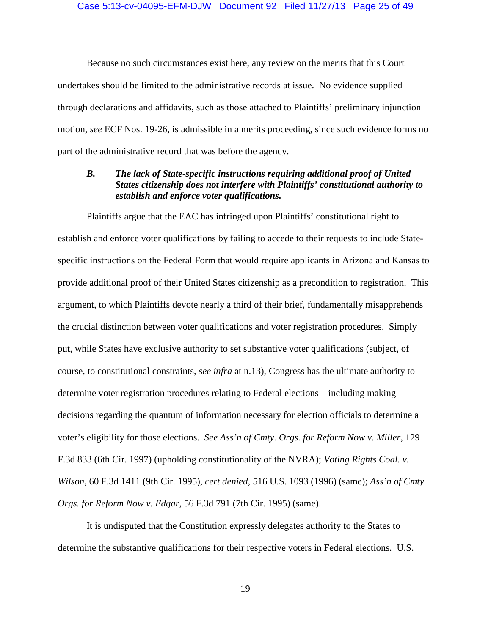#### Case 5:13-cv-04095-EFM-DJW Document 92 Filed 11/27/13 Page 25 of 49

Because no such circumstances exist here, any review on the merits that this Court undertakes should be limited to the administrative records at issue. No evidence supplied through declarations and affidavits, such as those attached to Plaintiffs' preliminary injunction motion, *see* ECF Nos. 19-26, is admissible in a merits proceeding, since such evidence forms no part of the administrative record that was before the agency.

# <span id="page-24-0"></span>*B. The lack of State-specific instructions requiring additional proof of United States citizenship does not interfere with Plaintiffs' constitutional authority to establish and enforce voter qualifications.*

Plaintiffs argue that the EAC has infringed upon Plaintiffs' constitutional right to establish and enforce voter qualifications by failing to accede to their requests to include Statespecific instructions on the Federal Form that would require applicants in Arizona and Kansas to provide additional proof of their United States citizenship as a precondition to registration. This argument, to which Plaintiffs devote nearly a third of their brief, fundamentally misapprehends the crucial distinction between voter qualifications and voter registration procedures. Simply put, while States have exclusive authority to set substantive voter qualifications (subject, of course, to constitutional constraints, *see infra* at n[.13\)](#page-25-0), Congress has the ultimate authority to determine voter registration procedures relating to Federal elections—including making decisions regarding the quantum of information necessary for election officials to determine a voter's eligibility for those elections. *See Ass'n of Cmty. Orgs. for Reform Now v. Miller*, 129 F.3d 833 (6th Cir. 1997) (upholding constitutionality of the NVRA); *Voting Rights Coal. v. Wilson*, 60 F.3d 1411 (9th Cir. 1995), *cert denied*, 516 U.S. 1093 (1996) (same); *Ass'n of Cmty. Orgs. for Reform Now v. Edgar*, 56 F.3d 791 (7th Cir. 1995) (same).

It is undisputed that the Constitution expressly delegates authority to the States to determine the substantive qualifications for their respective voters in Federal elections. U.S.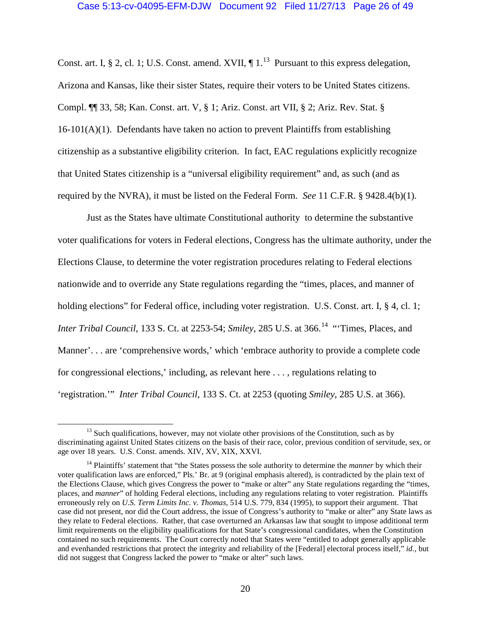<span id="page-25-0"></span>Const. art. I, § 2, cl. 1; U.S. Const. amend. XVII,  $\P 1$ .<sup>[13](#page-25-1)</sup> Pursuant to this express delegation, Arizona and Kansas, like their sister States, require their voters to be United States citizens. Compl. ¶¶ 33, 58; Kan. Const. art. V, § 1; Ariz. Const. art VII, § 2; Ariz. Rev. Stat. §  $16-101(A)(1)$ . Defendants have taken no action to prevent Plaintiffs from establishing citizenship as a substantive eligibility criterion. In fact, EAC regulations explicitly recognize that United States citizenship is a "universal eligibility requirement" and, as such (and as required by the NVRA), it must be listed on the Federal Form. *See* 11 C.F.R. § 9428.4(b)(1).

Just as the States have ultimate Constitutional authority to determine the substantive voter qualifications for voters in Federal elections, Congress has the ultimate authority, under the Elections Clause, to determine the voter registration procedures relating to Federal elections nationwide and to override any State regulations regarding the "times, places, and manner of holding elections" for Federal office, including voter registration. U.S. Const. art. I, § 4, cl. 1; *Inter Tribal Council*, 133 S. Ct. at 2253-54; *Smiley*, 285 U.S. at 366. [14](#page-25-2) "'Times, Places, and Manner'. . . are 'comprehensive words,' which 'embrace authority to provide a complete code for congressional elections,' including, as relevant here . . . , regulations relating to 'registration.'" *Inter Tribal Council*, 133 S. Ct. at 2253 (quoting *Smiley*, 285 U.S. at 366).

<span id="page-25-1"></span> $<sup>13</sup>$  Such qualifications, however, may not violate other provisions of the Constitution, such as by</sup> discriminating against United States citizens on the basis of their race, color, previous condition of servitude, sex, or age over 18 years. U.S. Const. amends. XIV, XV, XIX, XXVI.

<span id="page-25-2"></span><sup>&</sup>lt;sup>14</sup> Plaintiffs' statement that "the States possess the sole authority to determine the *manner* by which their voter qualification laws are enforced," Pls.' Br. at 9 (original emphasis altered), is contradicted by the plain text of the Elections Clause, which gives Congress the power to "make or alter" any State regulations regarding the "times, places, and *manner*" of holding Federal elections, including any regulations relating to voter registration. Plaintiffs erroneously rely on *U.S. Term Limits Inc. v. Thomas*, 514 U.S. 779, 834 (1995), to support their argument. That case did not present, nor did the Court address, the issue of Congress's authority to "make or alter" any State laws as they relate to Federal elections. Rather, that case overturned an Arkansas law that sought to impose additional term limit requirements on the eligibility qualifications for that State's congressional candidates, when the Constitution contained no such requirements. The Court correctly noted that States were "entitled to adopt generally applicable and evenhanded restrictions that protect the integrity and reliability of the [Federal] electoral process itself," *id.*, but did not suggest that Congress lacked the power to "make or alter" such laws.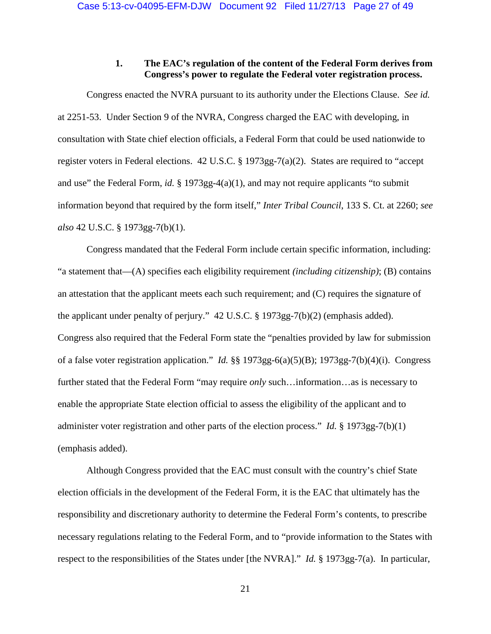# **1. The EAC's regulation of the content of the Federal Form derives from Congress's power to regulate the Federal voter registration process.**

<span id="page-26-0"></span>Congress enacted the NVRA pursuant to its authority under the Elections Clause. *See id.* at 2251-53. Under Section 9 of the NVRA, Congress charged the EAC with developing, in consultation with State chief election officials, a Federal Form that could be used nationwide to register voters in Federal elections. 42 U.S.C. § 1973gg-7(a)(2). States are required to "accept and use" the Federal Form, *id.* § 1973gg-4(a)(1), and may not require applicants "to submit information beyond that required by the form itself," *Inter Tribal Council*, 133 S. Ct. at 2260; *see also* 42 U.S.C. § 1973gg-7(b)(1).

Congress mandated that the Federal Form include certain specific information, including: "a statement that—(A) specifies each eligibility requirement *(including citizenship)*; (B) contains an attestation that the applicant meets each such requirement; and (C) requires the signature of the applicant under penalty of perjury." 42 U.S.C. § 1973gg-7(b)(2) (emphasis added). Congress also required that the Federal Form state the "penalties provided by law for submission of a false voter registration application." *Id.* §§ 1973gg-6(a)(5)(B); 1973gg-7(b)(4)(i). Congress further stated that the Federal Form "may require *only* such…information…as is necessary to enable the appropriate State election official to assess the eligibility of the applicant and to administer voter registration and other parts of the election process." *Id.* § 1973gg-7(b)(1) (emphasis added).

Although Congress provided that the EAC must consult with the country's chief State election officials in the development of the Federal Form, it is the EAC that ultimately has the responsibility and discretionary authority to determine the Federal Form's contents, to prescribe necessary regulations relating to the Federal Form, and to "provide information to the States with respect to the responsibilities of the States under [the NVRA]." *Id.* § 1973gg-7(a). In particular,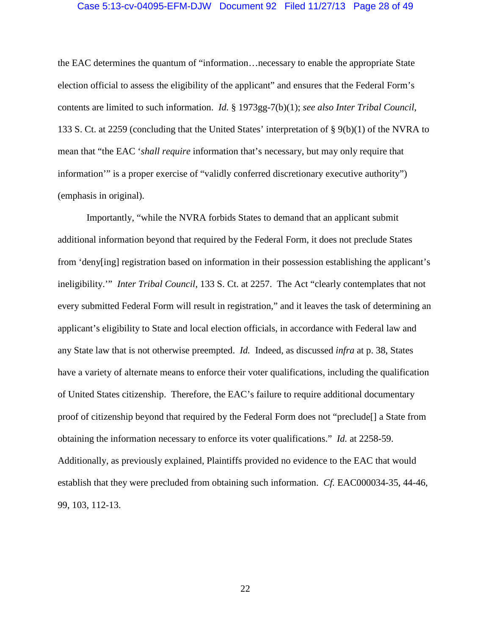### Case 5:13-cv-04095-EFM-DJW Document 92 Filed 11/27/13 Page 28 of 49

the EAC determines the quantum of "information…necessary to enable the appropriate State election official to assess the eligibility of the applicant" and ensures that the Federal Form's contents are limited to such information. *Id.* § 1973gg-7(b)(1); *see also Inter Tribal Council*, 133 S. Ct. at 2259 (concluding that the United States' interpretation of § 9(b)(1) of the NVRA to mean that "the EAC '*shall require* information that's necessary, but may only require that information'" is a proper exercise of "validly conferred discretionary executive authority") (emphasis in original).

Importantly, "while the NVRA forbids States to demand that an applicant submit additional information beyond that required by the Federal Form, it does not preclude States from 'deny[ing] registration based on information in their possession establishing the applicant's ineligibility.'" *Inter Tribal Council*, 133 S. Ct. at 2257. The Act "clearly contemplates that not every submitted Federal Form will result in registration," and it leaves the task of determining an applicant's eligibility to State and local election officials, in accordance with Federal law and any State law that is not otherwise preempted. *Id.* Indeed, as discussed *infra* at p. [38,](#page-43-0) States have a variety of alternate means to enforce their voter qualifications, including the qualification of United States citizenship. Therefore, the EAC's failure to require additional documentary proof of citizenship beyond that required by the Federal Form does not "preclude[] a State from obtaining the information necessary to enforce its voter qualifications." *Id.* at 2258-59. Additionally, as previously explained, Plaintiffs provided no evidence to the EAC that would establish that they were precluded from obtaining such information. *Cf.* EAC000034-35, 44-46, 99, 103, 112-13.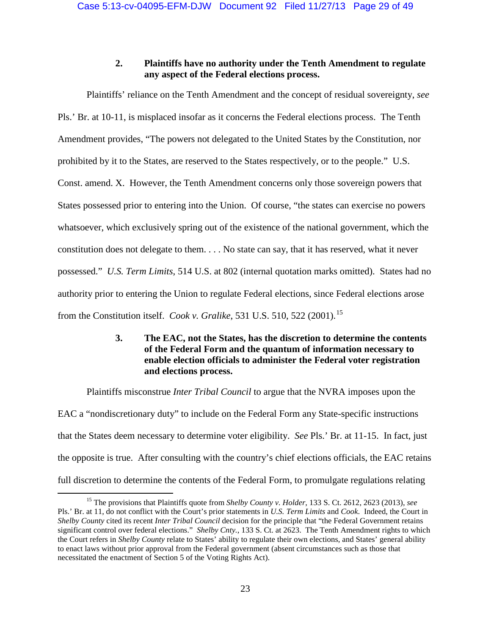# **2. Plaintiffs have no authority under the Tenth Amendment to regulate any aspect of the Federal elections process.**

<span id="page-28-0"></span>Plaintiffs' reliance on the Tenth Amendment and the concept of residual sovereignty, *see* Pls.' Br. at 10-11, is misplaced insofar as it concerns the Federal elections process. The Tenth Amendment provides, "The powers not delegated to the United States by the Constitution, nor prohibited by it to the States, are reserved to the States respectively, or to the people." U.S. Const. amend. X. However, the Tenth Amendment concerns only those sovereign powers that States possessed prior to entering into the Union. Of course, "the states can exercise no powers whatsoever, which exclusively spring out of the existence of the national government, which the constitution does not delegate to them. . . . No state can say, that it has reserved, what it never possessed." *U.S. Term Limits*, 514 U.S. at 802 (internal quotation marks omitted). States had no authority prior to entering the Union to regulate Federal elections, since Federal elections arose from the Constitution itself. *Cook v. Gralike*, 531 U.S. 510, 522 (2001). [15](#page-28-2)

# **3. The EAC, not the States, has the discretion to determine the contents of the Federal Form and the quantum of information necessary to enable election officials to administer the Federal voter registration and elections process.**

<span id="page-28-3"></span><span id="page-28-1"></span>Plaintiffs misconstrue *Inter Tribal Council* to argue that the NVRA imposes upon the EAC a "nondiscretionary duty" to include on the Federal Form any State-specific instructions that the States deem necessary to determine voter eligibility. *See* Pls.' Br. at 11-15. In fact, just the opposite is true. After consulting with the country's chief elections officials, the EAC retains full discretion to determine the contents of the Federal Form, to promulgate regulations relating

<span id="page-28-2"></span> <sup>15</sup> The provisions that Plaintiffs quote from *Shelby County v. Holder*, 133 S. Ct. 2612, 2623 (2013), *see* Pls.' Br. at 11, do not conflict with the Court's prior statements in *U.S. Term Limits* and *Cook*. Indeed, the Court in *Shelby County* cited its recent *Inter Tribal Council* decision for the principle that "the Federal Government retains significant control over federal elections." *Shelby Cnty.*, 133 S. Ct. at 2623. The Tenth Amendment rights to which the Court refers in *Shelby County* relate to States' ability to regulate their own elections, and States' general ability to enact laws without prior approval from the Federal government (absent circumstances such as those that necessitated the enactment of Section 5 of the Voting Rights Act).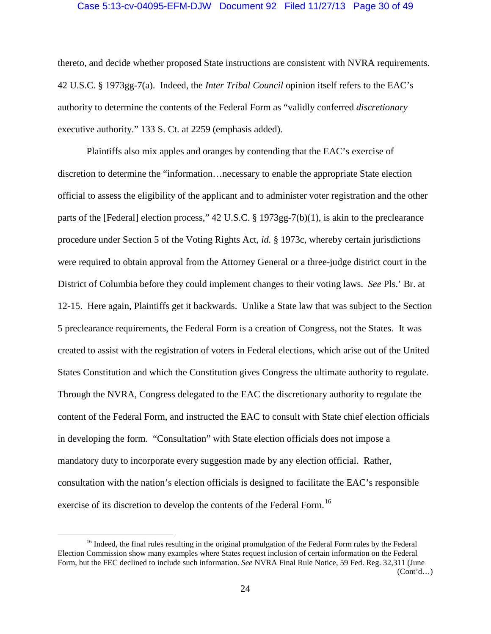#### Case 5:13-cv-04095-EFM-DJW Document 92 Filed 11/27/13 Page 30 of 49

thereto, and decide whether proposed State instructions are consistent with NVRA requirements. 42 U.S.C. § 1973gg-7(a). Indeed, the *Inter Tribal Council* opinion itself refers to the EAC's authority to determine the contents of the Federal Form as "validly conferred *discretionary* executive authority." 133 S. Ct. at 2259 (emphasis added).

Plaintiffs also mix apples and oranges by contending that the EAC's exercise of discretion to determine the "information…necessary to enable the appropriate State election official to assess the eligibility of the applicant and to administer voter registration and the other parts of the [Federal] election process," 42 U.S.C. § 1973gg-7(b)(1), is akin to the preclearance procedure under Section 5 of the Voting Rights Act, *id.* § 1973c, whereby certain jurisdictions were required to obtain approval from the Attorney General or a three-judge district court in the District of Columbia before they could implement changes to their voting laws. *See* Pls.' Br. at 12-15. Here again, Plaintiffs get it backwards. Unlike a State law that was subject to the Section 5 preclearance requirements, the Federal Form is a creation of Congress, not the States. It was created to assist with the registration of voters in Federal elections, which arise out of the United States Constitution and which the Constitution gives Congress the ultimate authority to regulate. Through the NVRA, Congress delegated to the EAC the discretionary authority to regulate the content of the Federal Form, and instructed the EAC to consult with State chief election officials in developing the form. "Consultation" with State election officials does not impose a mandatory duty to incorporate every suggestion made by any election official. Rather, consultation with the nation's election officials is designed to facilitate the EAC's responsible exercise of its discretion to develop the contents of the Federal Form.<sup>[16](#page-29-0)</sup>

<span id="page-29-0"></span><sup>&</sup>lt;sup>16</sup> Indeed, the final rules resulting in the original promulgation of the Federal Form rules by the Federal Election Commission show many examples where States request inclusion of certain information on the Federal Form, but the FEC declined to include such information. *See* NVRA Final Rule Notice, 59 Fed. Reg. 32,311 (June  $(Cont<sup>1</sup>d...)$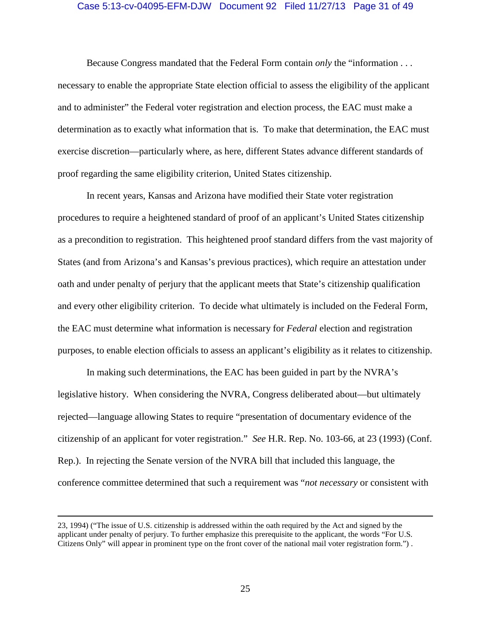### Case 5:13-cv-04095-EFM-DJW Document 92 Filed 11/27/13 Page 31 of 49

Because Congress mandated that the Federal Form contain *only* the "information . . . necessary to enable the appropriate State election official to assess the eligibility of the applicant and to administer" the Federal voter registration and election process, the EAC must make a determination as to exactly what information that is. To make that determination, the EAC must exercise discretion—particularly where, as here, different States advance different standards of proof regarding the same eligibility criterion, United States citizenship.

In recent years, Kansas and Arizona have modified their State voter registration procedures to require a heightened standard of proof of an applicant's United States citizenship as a precondition to registration. This heightened proof standard differs from the vast majority of States (and from Arizona's and Kansas's previous practices), which require an attestation under oath and under penalty of perjury that the applicant meets that State's citizenship qualification and every other eligibility criterion. To decide what ultimately is included on the Federal Form, the EAC must determine what information is necessary for *Federal* election and registration purposes, to enable election officials to assess an applicant's eligibility as it relates to citizenship.

In making such determinations, the EAC has been guided in part by the NVRA's legislative history. When considering the NVRA, Congress deliberated about—but ultimately rejected—language allowing States to require "presentation of documentary evidence of the citizenship of an applicant for voter registration." *See* H.R. Rep. No. 103-66, at 23 (1993) (Conf. Rep.). In rejecting the Senate version of the NVRA bill that included this language, the conference committee determined that such a requirement was "*not necessary* or consistent with

 $\overline{a}$ 

<sup>23, 1994)</sup> ("The issue of U.S. citizenship is addressed within the oath required by the Act and signed by the applicant under penalty of perjury. To further emphasize this prerequisite to the applicant, the words "For U.S. Citizens Only" will appear in prominent type on the front cover of the national mail voter registration form.") .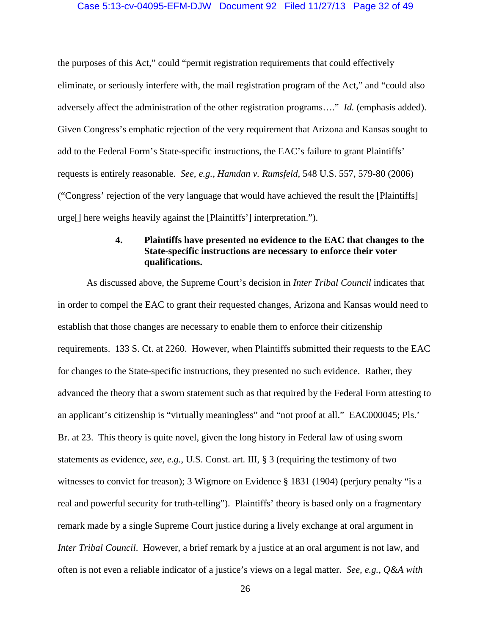### Case 5:13-cv-04095-EFM-DJW Document 92 Filed 11/27/13 Page 32 of 49

the purposes of this Act," could "permit registration requirements that could effectively eliminate, or seriously interfere with, the mail registration program of the Act," and "could also adversely affect the administration of the other registration programs…." *Id.* (emphasis added). Given Congress's emphatic rejection of the very requirement that Arizona and Kansas sought to add to the Federal Form's State-specific instructions, the EAC's failure to grant Plaintiffs' requests is entirely reasonable. *See, e.g., Hamdan v. Rumsfeld*, 548 U.S. 557, 579-80 (2006) ("Congress' rejection of the very language that would have achieved the result the [Plaintiffs] urge[] here weighs heavily against the [Plaintiffs'] interpretation.").

# **4. Plaintiffs have presented no evidence to the EAC that changes to the State-specific instructions are necessary to enforce their voter qualifications.**

<span id="page-31-0"></span>As discussed above, the Supreme Court's decision in *Inter Tribal Council* indicates that in order to compel the EAC to grant their requested changes, Arizona and Kansas would need to establish that those changes are necessary to enable them to enforce their citizenship requirements. 133 S. Ct. at 2260. However, when Plaintiffs submitted their requests to the EAC for changes to the State-specific instructions, they presented no such evidence. Rather, they advanced the theory that a sworn statement such as that required by the Federal Form attesting to an applicant's citizenship is "virtually meaningless" and "not proof at all." EAC000045; Pls.' Br. at 23. This theory is quite novel, given the long history in Federal law of using sworn statements as evidence*, see, e.g.*, U.S. Const. art. III, § 3 (requiring the testimony of two witnesses to convict for treason); 3 Wigmore on Evidence § 1831 (1904) (perjury penalty "is a real and powerful security for truth-telling"). Plaintiffs' theory is based only on a fragmentary remark made by a single Supreme Court justice during a lively exchange at oral argument in *Inter Tribal Council.* However, a brief remark by a justice at an oral argument is not law, and often is not even a reliable indicator of a justice's views on a legal matter. *See, e.g.*, *Q&A with*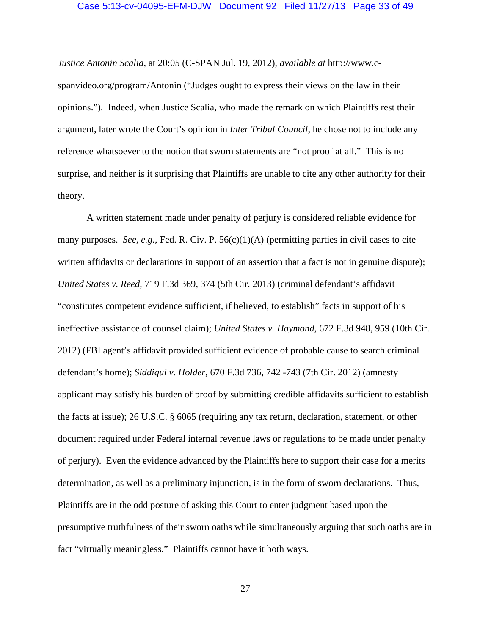### Case 5:13-cv-04095-EFM-DJW Document 92 Filed 11/27/13 Page 33 of 49

*Justice Antonin Scalia*, at 20:05 (C-SPAN Jul. 19, 2012), *available at* http://www.cspanvideo.org/program/Antonin ("Judges ought to express their views on the law in their opinions."). Indeed, when Justice Scalia, who made the remark on which Plaintiffs rest their argument, later wrote the Court's opinion in *Inter Tribal Council*, he chose not to include any reference whatsoever to the notion that sworn statements are "not proof at all." This is no surprise, and neither is it surprising that Plaintiffs are unable to cite any other authority for their theory.

A written statement made under penalty of perjury is considered reliable evidence for many purposes. *See, e.g.*, Fed. R. Civ. P. 56(c)(1)(A) (permitting parties in civil cases to cite written affidavits or declarations in support of an assertion that a fact is not in genuine dispute); *United States v. Reed*, 719 F.3d 369, 374 (5th Cir. 2013) (criminal defendant's affidavit "constitutes competent evidence sufficient, if believed, to establish" facts in support of his ineffective assistance of counsel claim); *United States v. Haymond*, 672 F.3d 948, 959 (10th Cir. 2012) (FBI agent's affidavit provided sufficient evidence of probable cause to search criminal defendant's home); *Siddiqui v. Holder*, 670 F.3d 736, 742 -743 (7th Cir. 2012) (amnesty applicant may satisfy his burden of proof by submitting credible affidavits sufficient to establish the facts at issue); 26 U.S.C. § 6065 (requiring any tax return, declaration, statement, or other document required under Federal internal revenue laws or regulations to be made under penalty of perjury). Even the evidence advanced by the Plaintiffs here to support their case for a merits determination, as well as a preliminary injunction, is in the form of sworn declarations. Thus, Plaintiffs are in the odd posture of asking this Court to enter judgment based upon the presumptive truthfulness of their sworn oaths while simultaneously arguing that such oaths are in fact "virtually meaningless." Plaintiffs cannot have it both ways.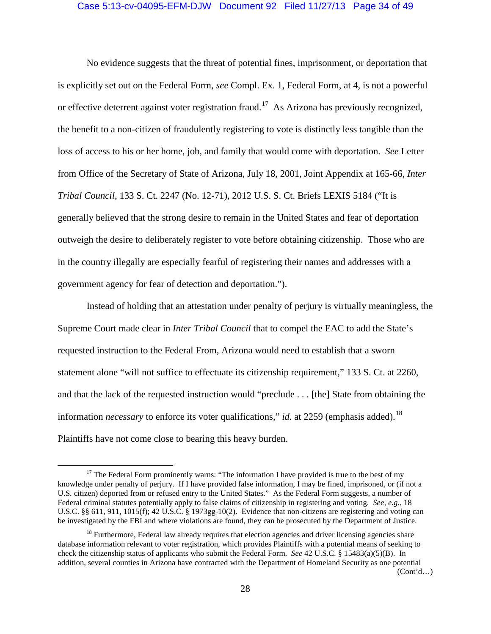### Case 5:13-cv-04095-EFM-DJW Document 92 Filed 11/27/13 Page 34 of 49

No evidence suggests that the threat of potential fines, imprisonment, or deportation that is explicitly set out on the Federal Form, *see* Compl. Ex. 1, Federal Form, at 4, is not a powerful or effective deterrent against voter registration fraud.<sup>[17](#page-33-0)</sup> As Arizona has previously recognized, the benefit to a non-citizen of fraudulently registering to vote is distinctly less tangible than the loss of access to his or her home, job, and family that would come with deportation. *See* Letter from Office of the Secretary of State of Arizona, July 18, 2001, Joint Appendix at 165-66, *Inter Tribal Council*, 133 S. Ct. 2247 (No. 12-71), 2012 U.S. S. Ct. Briefs LEXIS 5184 ("It is generally believed that the strong desire to remain in the United States and fear of deportation outweigh the desire to deliberately register to vote before obtaining citizenship. Those who are in the country illegally are especially fearful of registering their names and addresses with a government agency for fear of detection and deportation.").

Instead of holding that an attestation under penalty of perjury is virtually meaningless, the Supreme Court made clear in *Inter Tribal Council* that to compel the EAC to add the State's requested instruction to the Federal From, Arizona would need to establish that a sworn statement alone "will not suffice to effectuate its citizenship requirement," 133 S. Ct. at 2260, and that the lack of the requested instruction would "preclude . . . [the] State from obtaining the information *necessary* to enforce its voter qualifications," *id.* at 2259 (emphasis added). [18](#page-33-1) Plaintiffs have not come close to bearing this heavy burden.

<span id="page-33-2"></span><span id="page-33-0"></span><sup>&</sup>lt;sup>17</sup> The Federal Form prominently warns: "The information I have provided is true to the best of my knowledge under penalty of perjury. If I have provided false information, I may be fined, imprisoned, or (if not a U.S. citizen) deported from or refused entry to the United States." As the Federal Form suggests, a number of Federal criminal statutes potentially apply to false claims of citizenship in registering and voting. *See, e.g.,* 18 U.S.C. §§ 611, 911, 1015(f); 42 U.S.C. § 1973gg-10(2). Evidence that non-citizens are registering and voting can be investigated by the FBI and where violations are found, they can be prosecuted by the Department of Justice.

<span id="page-33-1"></span> $18$  Furthermore, Federal law already requires that election agencies and driver licensing agencies share database information relevant to voter registration, which provides Plaintiffs with a potential means of seeking to check the citizenship status of applicants who submit the Federal Form. *See* 42 U.S.C. § 15483(a)(5)(B). In addition, several counties in Arizona have contracted with the Department of Homeland Security as one potential  $(Cont<sup>2</sup>d...)$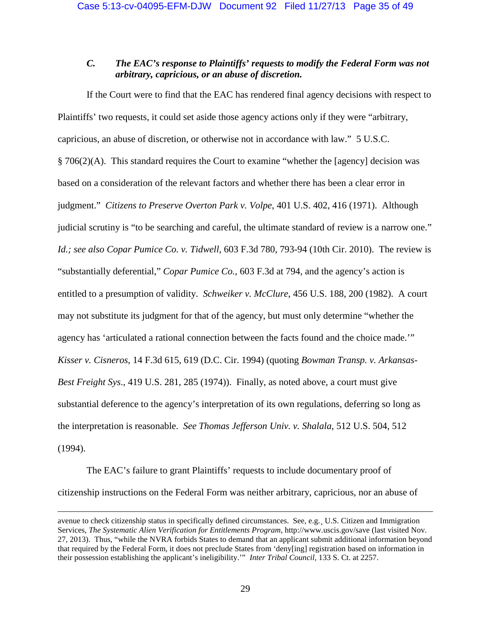# <span id="page-34-0"></span>*C. The EAC's response to Plaintiffs' requests to modify the Federal Form was not arbitrary, capricious, or an abuse of discretion.*

If the Court were to find that the EAC has rendered final agency decisions with respect to Plaintiffs' two requests, it could set aside those agency actions only if they were "arbitrary, capricious, an abuse of discretion, or otherwise not in accordance with law." 5 U.S.C.  $§ 706(2)$ (A). This standard requires the Court to examine "whether the [agency] decision was based on a consideration of the relevant factors and whether there has been a clear error in judgment." *Citizens to Preserve Overton Park v. Volpe*, 401 U.S. 402, 416 (1971). Although judicial scrutiny is "to be searching and careful, the ultimate standard of review is a narrow one." *Id.; see also Copar Pumice Co. v. Tidwell*, 603 F.3d 780, 793-94 (10th Cir. 2010). The review is "substantially deferential," *Copar Pumice Co.*, 603 F.3d at 794, and the agency's action is entitled to a presumption of validity. *Schweiker v. McClure*, 456 U.S. 188, 200 (1982). A court may not substitute its judgment for that of the agency, but must only determine "whether the agency has 'articulated a rational connection between the facts found and the choice made.'" *Kisser v. Cisneros*, 14 F.3d 615, 619 (D.C. Cir. 1994) (quoting *Bowman Transp. v. Arkansas-Best Freight Sys*., 419 U.S. 281, 285 (1974)). Finally, as noted above, a court must give substantial deference to the agency's interpretation of its own regulations, deferring so long as the interpretation is reasonable. *See Thomas Jefferson Univ. v. Shalala*, 512 U.S. 504, 512 (1994).

The EAC's failure to grant Plaintiffs' requests to include documentary proof of citizenship instructions on the Federal Form was neither arbitrary, capricious, nor an abuse of

 $\overline{a}$ 

avenue to check citizenship status in specifically defined circumstances. See, e.g.¸ U.S. Citizen and Immigration Services, *The Systematic Alien Verification for Entitlements Program*, http://www.uscis.gov/save (last visited Nov. 27, 2013). Thus, "while the NVRA forbids States to demand that an applicant submit additional information beyond that required by the Federal Form, it does not preclude States from 'deny[ing] registration based on information in their possession establishing the applicant's ineligibility.'" *Inter Tribal Council*, 133 S. Ct. at 2257.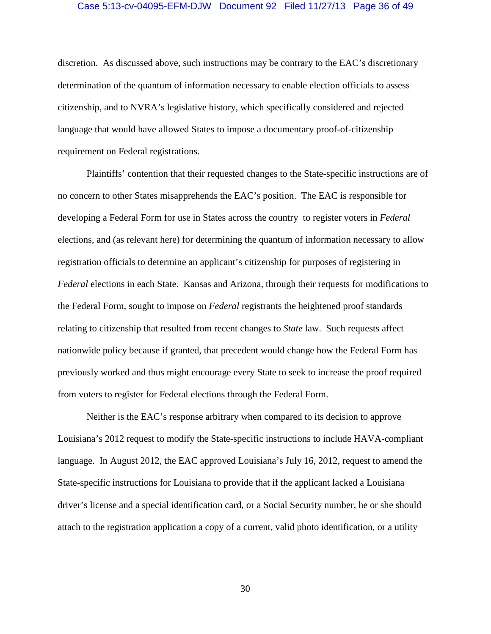### Case 5:13-cv-04095-EFM-DJW Document 92 Filed 11/27/13 Page 36 of 49

discretion. As discussed above, such instructions may be contrary to the EAC's discretionary determination of the quantum of information necessary to enable election officials to assess citizenship, and to NVRA's legislative history, which specifically considered and rejected language that would have allowed States to impose a documentary proof-of-citizenship requirement on Federal registrations.

Plaintiffs' contention that their requested changes to the State-specific instructions are of no concern to other States misapprehends the EAC's position. The EAC is responsible for developing a Federal Form for use in States across the country to register voters in *Federal* elections, and (as relevant here) for determining the quantum of information necessary to allow registration officials to determine an applicant's citizenship for purposes of registering in *Federal* elections in each State. Kansas and Arizona, through their requests for modifications to the Federal Form, sought to impose on *Federal* registrants the heightened proof standards relating to citizenship that resulted from recent changes to *State* law. Such requests affect nationwide policy because if granted, that precedent would change how the Federal Form has previously worked and thus might encourage every State to seek to increase the proof required from voters to register for Federal elections through the Federal Form.

Neither is the EAC's response arbitrary when compared to its decision to approve Louisiana's 2012 request to modify the State-specific instructions to include HAVA-compliant language. In August 2012, the EAC approved Louisiana's July 16, 2012, request to amend the State-specific instructions for Louisiana to provide that if the applicant lacked a Louisiana driver's license and a special identification card, or a Social Security number, he or she should attach to the registration application a copy of a current, valid photo identification, or a utility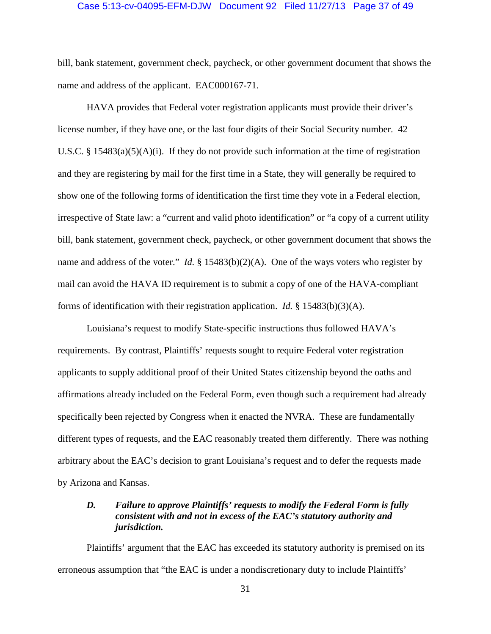### Case 5:13-cv-04095-EFM-DJW Document 92 Filed 11/27/13 Page 37 of 49

bill, bank statement, government check, paycheck, or other government document that shows the name and address of the applicant. EAC000167-71.

HAVA provides that Federal voter registration applicants must provide their driver's license number, if they have one, or the last four digits of their Social Security number. 42 U.S.C. § 15483(a)(5)(A)(i). If they do not provide such information at the time of registration and they are registering by mail for the first time in a State, they will generally be required to show one of the following forms of identification the first time they vote in a Federal election, irrespective of State law: a "current and valid photo identification" or "a copy of a current utility bill, bank statement, government check, paycheck, or other government document that shows the name and address of the voter." *Id.* § 15483(b)(2)(A). One of the ways voters who register by mail can avoid the HAVA ID requirement is to submit a copy of one of the HAVA-compliant forms of identification with their registration application. *Id.* § 15483(b)(3)(A).

Louisiana's request to modify State-specific instructions thus followed HAVA's requirements. By contrast, Plaintiffs' requests sought to require Federal voter registration applicants to supply additional proof of their United States citizenship beyond the oaths and affirmations already included on the Federal Form, even though such a requirement had already specifically been rejected by Congress when it enacted the NVRA. These are fundamentally different types of requests, and the EAC reasonably treated them differently. There was nothing arbitrary about the EAC's decision to grant Louisiana's request and to defer the requests made by Arizona and Kansas.

# <span id="page-36-0"></span>*D. Failure to approve Plaintiffs' requests to modify the Federal Form is fully consistent with and not in excess of the EAC's statutory authority and jurisdiction.*

Plaintiffs' argument that the EAC has exceeded its statutory authority is premised on its erroneous assumption that "the EAC is under a nondiscretionary duty to include Plaintiffs'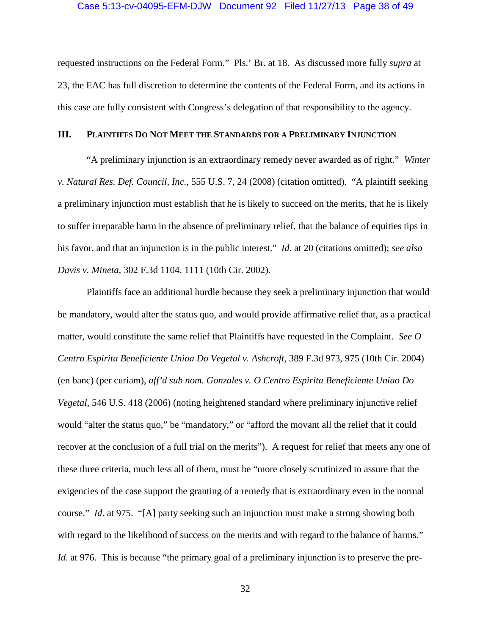### Case 5:13-cv-04095-EFM-DJW Document 92 Filed 11/27/13 Page 38 of 49

requested instructions on the Federal Form." Pls.' Br. at 18. As discussed more fully *supra* at [23,](#page-28-3) the EAC has full discretion to determine the contents of the Federal Form, and its actions in this case are fully consistent with Congress's delegation of that responsibility to the agency.

### <span id="page-37-0"></span>**III. PLAINTIFFS DO NOT MEET THE STANDARDS FOR A PRELIMINARY INJUNCTION**

"A preliminary injunction is an extraordinary remedy never awarded as of right." *Winter v. Natural Res. Def. Council, Inc.*, 555 U.S. 7, 24 (2008) (citation omitted). "A plaintiff seeking a preliminary injunction must establish that he is likely to succeed on the merits, that he is likely to suffer irreparable harm in the absence of preliminary relief, that the balance of equities tips in his favor, and that an injunction is in the public interest." *Id.* at 20 (citations omitted); *see also Davis v. Mineta*, 302 F.3d 1104, 1111 (10th Cir. 2002).

Plaintiffs face an additional hurdle because they seek a preliminary injunction that would be mandatory, would alter the status quo, and would provide affirmative relief that, as a practical matter, would constitute the same relief that Plaintiffs have requested in the Complaint. *See O Centro Espirita Beneficiente Unioa Do Vegetal v. Ashcroft*, 389 F.3d 973, 975 (10th Cir. 2004) (en banc) (per curiam), *aff'd sub nom. Gonzales v. O Centro Espirita Beneficiente Uniao Do Vegetal*, 546 U.S. 418 (2006) (noting heightened standard where preliminary injunctive relief would "alter the status quo," be "mandatory," or "afford the movant all the relief that it could recover at the conclusion of a full trial on the merits"). A request for relief that meets any one of these three criteria, much less all of them, must be "more closely scrutinized to assure that the exigencies of the case support the granting of a remedy that is extraordinary even in the normal course." *Id*. at 975. "[A] party seeking such an injunction must make a strong showing both with regard to the likelihood of success on the merits and with regard to the balance of harms." *Id.* at 976. This is because "the primary goal of a preliminary injunction is to preserve the pre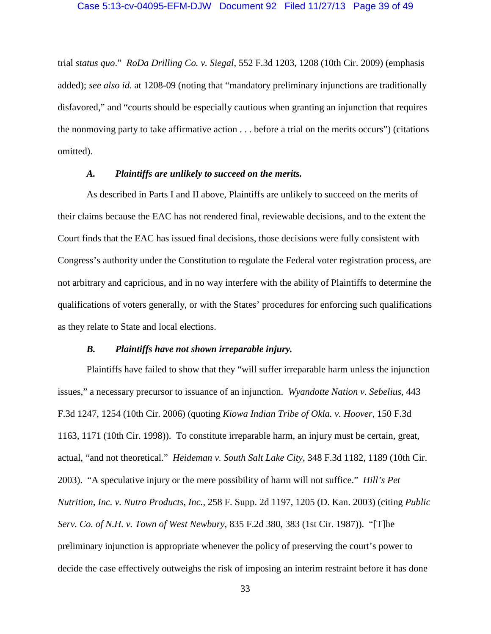trial *status quo*." *RoDa Drilling Co. v. Siegal*, 552 F.3d 1203, 1208 (10th Cir. 2009) (emphasis added); *see also id.* at 1208-09 (noting that "mandatory preliminary injunctions are traditionally disfavored," and "courts should be especially cautious when granting an injunction that requires the nonmoving party to take affirmative action . . . before a trial on the merits occurs") (citations omitted).

# *A. Plaintiffs are unlikely to succeed on the merits.*

<span id="page-38-0"></span>As described in Parts I and II above, Plaintiffs are unlikely to succeed on the merits of their claims because the EAC has not rendered final, reviewable decisions, and to the extent the Court finds that the EAC has issued final decisions, those decisions were fully consistent with Congress's authority under the Constitution to regulate the Federal voter registration process, are not arbitrary and capricious, and in no way interfere with the ability of Plaintiffs to determine the qualifications of voters generally, or with the States' procedures for enforcing such qualifications as they relate to State and local elections.

# *B. Plaintiffs have not shown irreparable injury.*

<span id="page-38-1"></span>Plaintiffs have failed to show that they "will suffer irreparable harm unless the injunction issues," a necessary precursor to issuance of an injunction. *Wyandotte Nation v. Sebelius*, 443 F.3d 1247, 1254 (10th Cir. 2006) (quoting *Kiowa Indian Tribe of Okla. v. Hoover*, 150 F.3d 1163, 1171 (10th Cir. 1998)). To constitute irreparable harm, an injury must be certain, great, actual, "and not theoretical." *Heideman v. South Salt Lake City*, 348 F.3d 1182, 1189 (10th Cir. 2003). "A speculative injury or the mere possibility of harm will not suffice." *Hill's Pet Nutrition, Inc. v. Nutro Products, Inc.*, 258 F. Supp. 2d 1197, 1205 (D. Kan. 2003) (citing *Public Serv. Co. of N.H. v. Town of West Newbury*, 835 F.2d 380, 383 (1st Cir. 1987)). "[T]he preliminary injunction is appropriate whenever the policy of preserving the court's power to decide the case effectively outweighs the risk of imposing an interim restraint before it has done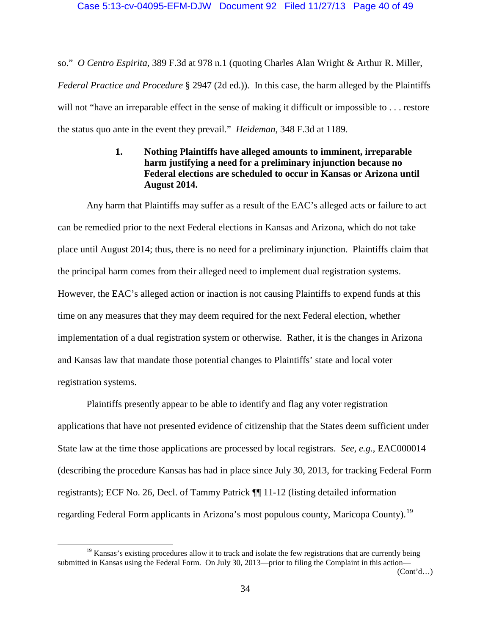so." *O Centro Espirita*, 389 F.3d at 978 n.1 (quoting Charles Alan Wright & Arthur R. Miller, *Federal Practice and Procedure* § 2947 (2d ed.)). In this case, the harm alleged by the Plaintiffs will not "have an irreparable effect in the sense of making it difficult or impossible to . . . restore the status quo ante in the event they prevail." *Heideman*, 348 F.3d at 1189.

# **1. Nothing Plaintiffs have alleged amounts to imminent, irreparable harm justifying a need for a preliminary injunction because no Federal elections are scheduled to occur in Kansas or Arizona until August 2014.**

<span id="page-39-0"></span>Any harm that Plaintiffs may suffer as a result of the EAC's alleged acts or failure to act can be remedied prior to the next Federal elections in Kansas and Arizona, which do not take place until August 2014; thus, there is no need for a preliminary injunction. Plaintiffs claim that the principal harm comes from their alleged need to implement dual registration systems. However, the EAC's alleged action or inaction is not causing Plaintiffs to expend funds at this time on any measures that they may deem required for the next Federal election, whether implementation of a dual registration system or otherwise. Rather, it is the changes in Arizona and Kansas law that mandate those potential changes to Plaintiffs' state and local voter registration systems.

Plaintiffs presently appear to be able to identify and flag any voter registration applications that have not presented evidence of citizenship that the States deem sufficient under State law at the time those applications are processed by local registrars. *See, e.g.*, EAC000014 (describing the procedure Kansas has had in place since July 30, 2013, for tracking Federal Form registrants); ECF No. 26, Decl. of Tammy Patrick ¶¶ 11-12 (listing detailed information regarding Federal Form applicants in Arizona's most populous county, Maricopa County).<sup>[19](#page-39-1)</sup>

<span id="page-39-1"></span> $19$  Kansas's existing procedures allow it to track and isolate the few registrations that are currently being submitted in Kansas using the Federal Form. On July 30, 2013—prior to filing the Complaint in this action—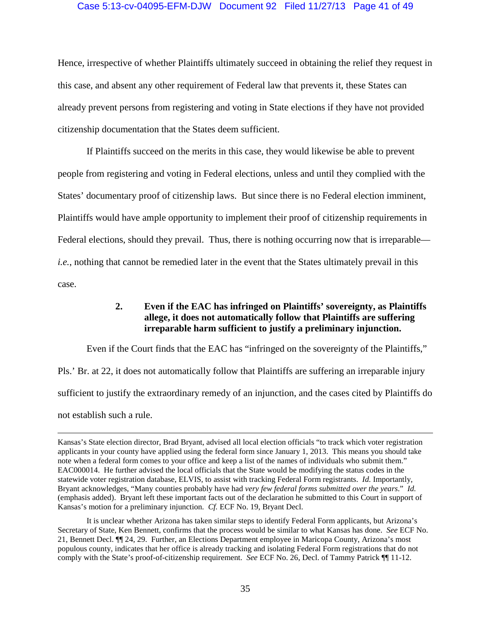## Case 5:13-cv-04095-EFM-DJW Document 92 Filed 11/27/13 Page 41 of 49

Hence, irrespective of whether Plaintiffs ultimately succeed in obtaining the relief they request in this case, and absent any other requirement of Federal law that prevents it, these States can already prevent persons from registering and voting in State elections if they have not provided citizenship documentation that the States deem sufficient.

If Plaintiffs succeed on the merits in this case, they would likewise be able to prevent people from registering and voting in Federal elections, unless and until they complied with the States' documentary proof of citizenship laws. But since there is no Federal election imminent, Plaintiffs would have ample opportunity to implement their proof of citizenship requirements in Federal elections, should they prevail. Thus, there is nothing occurring now that is irreparable *i.e.*, nothing that cannot be remedied later in the event that the States ultimately prevail in this case.

# **2. Even if the EAC has infringed on Plaintiffs' sovereignty, as Plaintiffs allege, it does not automatically follow that Plaintiffs are suffering irreparable harm sufficient to justify a preliminary injunction.**

<span id="page-40-0"></span>Even if the Court finds that the EAC has "infringed on the sovereignty of the Plaintiffs," Pls.' Br. at 22, it does not automatically follow that Plaintiffs are suffering an irreparable injury sufficient to justify the extraordinary remedy of an injunction, and the cases cited by Plaintiffs do not establish such a rule.

 $\overline{a}$ 

Kansas's State election director, Brad Bryant, advised all local election officials "to track which voter registration applicants in your county have applied using the federal form since January 1, 2013. This means you should take note when a federal form comes to your office and keep a list of the names of individuals who submit them." EAC000014. He further advised the local officials that the State would be modifying the status codes in the statewide voter registration database, ELVIS, to assist with tracking Federal Form registrants. *Id.* Importantly, Bryant acknowledges, "Many counties probably have had *very few federal forms submitted over the years*." *Id.* (emphasis added). Bryant left these important facts out of the declaration he submitted to this Court in support of Kansas's motion for a preliminary injunction. *Cf.* ECF No. 19, Bryant Decl.

It is unclear whether Arizona has taken similar steps to identify Federal Form applicants, but Arizona's Secretary of State, Ken Bennett, confirms that the process would be similar to what Kansas has done. *See* ECF No. 21, Bennett Decl. ¶¶ 24, 29. Further, an Elections Department employee in Maricopa County, Arizona's most populous county, indicates that her office is already tracking and isolating Federal Form registrations that do not comply with the State's proof-of-citizenship requirement. *See* ECF No. 26, Decl. of Tammy Patrick ¶¶ 11-12.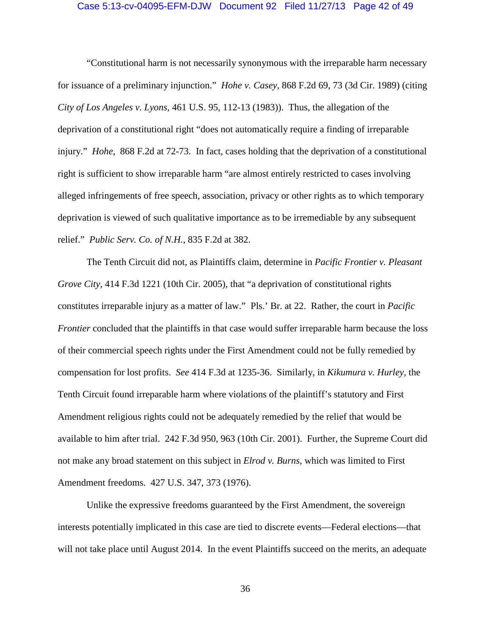### Case 5:13-cv-04095-EFM-DJW Document 92 Filed 11/27/13 Page 42 of 49

"Constitutional harm is not necessarily synonymous with the irreparable harm necessary for issuance of a preliminary injunction." *Hohe v. Casey*, 868 F.2d 69, 73 (3d Cir. 1989) (citing *City of Los Angeles v. Lyons,* 461 U.S. 95, 112-13 (1983)). Thus, the allegation of the deprivation of a constitutional right "does not automatically require a finding of irreparable injury." *Hohe,* 868 F.2d at 72-73. In fact, cases holding that the deprivation of a constitutional right is sufficient to show irreparable harm "are almost entirely restricted to cases involving alleged infringements of free speech, association, privacy or other rights as to which temporary deprivation is viewed of such qualitative importance as to be irremediable by any subsequent relief." *Public Serv. Co. of N.H.*, 835 F.2d at 382.

The Tenth Circuit did not, as Plaintiffs claim, determine in *Pacific Frontier v. Pleasant Grove City*, 414 F.3d 1221 (10th Cir. 2005), that "a deprivation of constitutional rights constitutes irreparable injury as a matter of law." Pls.' Br. at 22. Rather, the court in *Pacific Frontier* concluded that the plaintiffs in that case would suffer irreparable harm because the loss of their commercial speech rights under the First Amendment could not be fully remedied by compensation for lost profits. *See* 414 F.3d at 1235-36. Similarly, in *Kikumura v. Hurley*, the Tenth Circuit found irreparable harm where violations of the plaintiff's statutory and First Amendment religious rights could not be adequately remedied by the relief that would be available to him after trial. 242 F.3d 950, 963 (10th Cir. 2001). Further, the Supreme Court did not make any broad statement on this subject in *Elrod v. Burns*, which was limited to First Amendment freedoms. 427 U.S. 347, 373 (1976).

Unlike the expressive freedoms guaranteed by the First Amendment, the sovereign interests potentially implicated in this case are tied to discrete events—Federal elections—that will not take place until August 2014. In the event Plaintiffs succeed on the merits, an adequate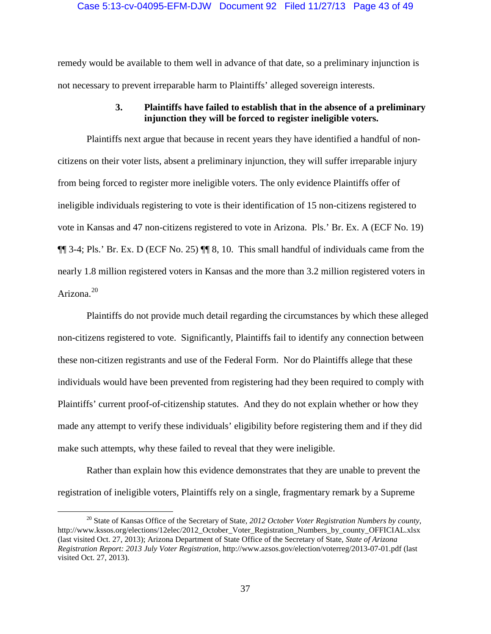remedy would be available to them well in advance of that date, so a preliminary injunction is not necessary to prevent irreparable harm to Plaintiffs' alleged sovereign interests.

# **3. Plaintiffs have failed to establish that in the absence of a preliminary injunction they will be forced to register ineligible voters.**

<span id="page-42-0"></span>Plaintiffs next argue that because in recent years they have identified a handful of noncitizens on their voter lists, absent a preliminary injunction, they will suffer irreparable injury from being forced to register more ineligible voters. The only evidence Plaintiffs offer of ineligible individuals registering to vote is their identification of 15 non-citizens registered to vote in Kansas and 47 non-citizens registered to vote in Arizona. Pls.' Br. Ex. A (ECF No. 19) ¶¶ 3-4; Pls.' Br. Ex. D (ECF No. 25) ¶¶ 8, 10. This small handful of individuals came from the nearly 1.8 million registered voters in Kansas and the more than 3.2 million registered voters in Arizona.<sup>[20](#page-42-1)</sup>

Plaintiffs do not provide much detail regarding the circumstances by which these alleged non-citizens registered to vote. Significantly, Plaintiffs fail to identify any connection between these non-citizen registrants and use of the Federal Form. Nor do Plaintiffs allege that these individuals would have been prevented from registering had they been required to comply with Plaintiffs' current proof-of-citizenship statutes. And they do not explain whether or how they made any attempt to verify these individuals' eligibility before registering them and if they did make such attempts, why these failed to reveal that they were ineligible.

Rather than explain how this evidence demonstrates that they are unable to prevent the registration of ineligible voters, Plaintiffs rely on a single, fragmentary remark by a Supreme

<span id="page-42-1"></span> <sup>20</sup> State of Kansas Office of the Secretary of State, *2012 October Voter Registration Numbers by county*, http://www.kssos.org/elections/12elec/2012\_October\_Voter\_Registration\_Numbers\_by\_county\_OFFICIAL.xlsx (last visited Oct. 27, 2013); Arizona Department of State Office of the Secretary of State, *State of Arizona Registration Report: 2013 July Voter Registration*, http://www.azsos.gov/election/voterreg/2013-07-01.pdf (last visited Oct. 27, 2013).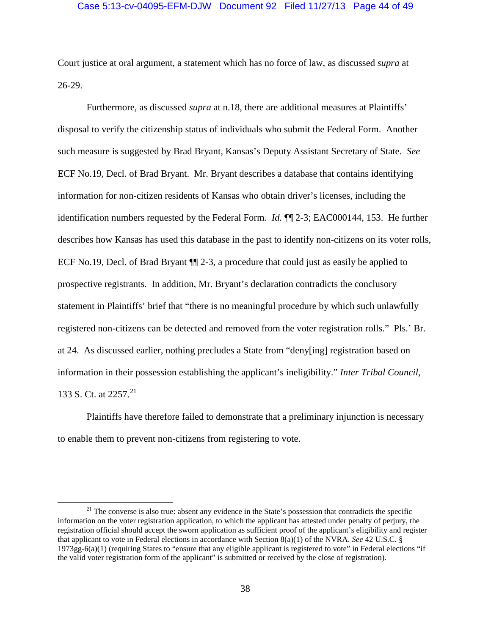### Case 5:13-cv-04095-EFM-DJW Document 92 Filed 11/27/13 Page 44 of 49

Court justice at oral argument, a statement which has no force of law, as discussed *supra* at [26-](#page-31-0)[29.](#page-34-0)

<span id="page-43-0"></span>Furthermore, as discussed *supra* at n[.18,](#page-33-2) there are additional measures at Plaintiffs' disposal to verify the citizenship status of individuals who submit the Federal Form. Another such measure is suggested by Brad Bryant, Kansas's Deputy Assistant Secretary of State. *See* ECF No.19, Decl. of Brad Bryant. Mr. Bryant describes a database that contains identifying information for non-citizen residents of Kansas who obtain driver's licenses, including the identification numbers requested by the Federal Form. *Id.* ¶¶ 2-3; EAC000144, 153. He further describes how Kansas has used this database in the past to identify non-citizens on its voter rolls, ECF No.19, Decl. of Brad Bryant ¶¶ 2-3, a procedure that could just as easily be applied to prospective registrants. In addition, Mr. Bryant's declaration contradicts the conclusory statement in Plaintiffs' brief that "there is no meaningful procedure by which such unlawfully registered non-citizens can be detected and removed from the voter registration rolls." Pls.' Br. at 24. As discussed earlier, nothing precludes a State from "deny[ing] registration based on information in their possession establishing the applicant's ineligibility." *Inter Tribal Council*, 133 S. Ct. at 2257. [21](#page-43-1)

Plaintiffs have therefore failed to demonstrate that a preliminary injunction is necessary to enable them to prevent non-citizens from registering to vote.

<span id="page-43-1"></span> $21$  The converse is also true: absent any evidence in the State's possession that contradicts the specific information on the voter registration application, to which the applicant has attested under penalty of perjury, the registration official should accept the sworn application as sufficient proof of the applicant's eligibility and register that applicant to vote in Federal elections in accordance with Section 8(a)(1) of the NVRA. *See* 42 U.S.C. § 1973gg-6(a)(1) (requiring States to "ensure that any eligible applicant is registered to vote" in Federal elections "if the valid voter registration form of the applicant" is submitted or received by the close of registration).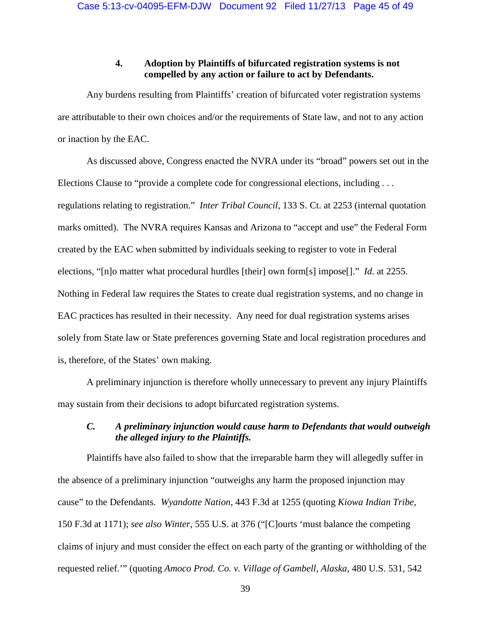# **4. Adoption by Plaintiffs of bifurcated registration systems is not compelled by any action or failure to act by Defendants.**

<span id="page-44-0"></span>Any burdens resulting from Plaintiffs' creation of bifurcated voter registration systems are attributable to their own choices and/or the requirements of State law, and not to any action or inaction by the EAC.

As discussed above, Congress enacted the NVRA under its "broad" powers set out in the Elections Clause to "provide a complete code for congressional elections, including . . . regulations relating to registration." *Inter Tribal Council*, 133 S. Ct. at 2253 (internal quotation marks omitted). The NVRA requires Kansas and Arizona to "accept and use" the Federal Form created by the EAC when submitted by individuals seeking to register to vote in Federal elections, "[n]o matter what procedural hurdles [their] own form[s] impose[]." *Id.* at 2255. Nothing in Federal law requires the States to create dual registration systems, and no change in EAC practices has resulted in their necessity. Any need for dual registration systems arises solely from State law or State preferences governing State and local registration procedures and is, therefore, of the States' own making.

A preliminary injunction is therefore wholly unnecessary to prevent any injury Plaintiffs may sustain from their decisions to adopt bifurcated registration systems.

# <span id="page-44-1"></span>*C. A preliminary injunction would cause harm to Defendants that would outweigh the alleged injury to the Plaintiffs.*

Plaintiffs have also failed to show that the irreparable harm they will allegedly suffer in the absence of a preliminary injunction "outweighs any harm the proposed injunction may cause" to the Defendants. *Wyandotte Nation*, 443 F.3d at 1255 (quoting *Kiowa Indian Tribe*, 150 F.3d at 1171); *see also Winter*, 555 U.S. at 376 ("[C]ourts 'must balance the competing claims of injury and must consider the effect on each party of the granting or withholding of the requested relief.'" (quoting *Amoco Prod. Co. v. Village of Gambell, Alaska,* 480 U.S. 531, 542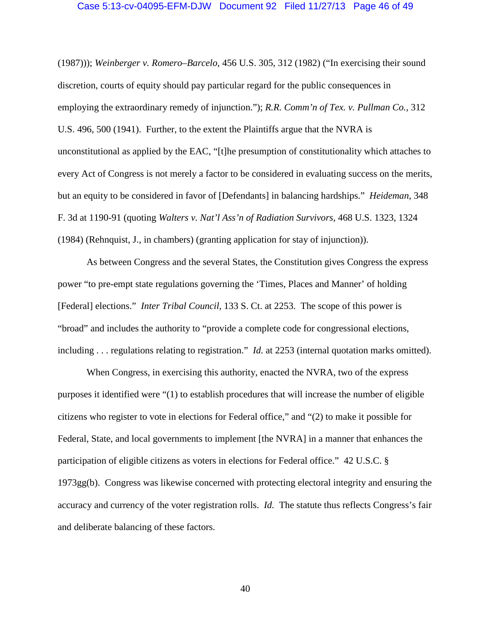#### Case 5:13-cv-04095-EFM-DJW Document 92 Filed 11/27/13 Page 46 of 49

(1987))); *Weinberger v. Romero–Barcelo,* 456 U.S. 305, 312 (1982) ("In exercising their sound discretion, courts of equity should pay particular regard for the public consequences in employing the extraordinary remedy of injunction."); *R.R. Comm'n of Tex. v. Pullman Co.*, 312 U.S. 496, 500 (1941). Further, to the extent the Plaintiffs argue that the NVRA is unconstitutional as applied by the EAC, "[t]he presumption of constitutionality which attaches to every Act of Congress is not merely a factor to be considered in evaluating success on the merits, but an equity to be considered in favor of [Defendants] in balancing hardships." *Heideman*, 348 F. 3d at 1190-91 (quoting *Walters v. Nat'l Ass'n of Radiation Survivors,* 468 U.S. 1323, 1324 (1984) (Rehnquist, J., in chambers) (granting application for stay of injunction)).

As between Congress and the several States, the Constitution gives Congress the express power "to pre-empt state regulations governing the 'Times, Places and Manner' of holding [Federal] elections." *Inter Tribal Council*, 133 S. Ct. at 2253. The scope of this power is "broad" and includes the authority to "provide a complete code for congressional elections, including . . . regulations relating to registration." *Id.* at 2253 (internal quotation marks omitted).

When Congress, in exercising this authority, enacted the NVRA, two of the express purposes it identified were "(1) to establish procedures that will increase the number of eligible citizens who register to vote in elections for Federal office," and "(2) to make it possible for Federal, State, and local governments to implement [the NVRA] in a manner that enhances the participation of eligible citizens as voters in elections for Federal office." 42 U.S.C. § 1973gg(b). Congress was likewise concerned with protecting electoral integrity and ensuring the accuracy and currency of the voter registration rolls. *Id.* The statute thus reflects Congress's fair and deliberate balancing of these factors.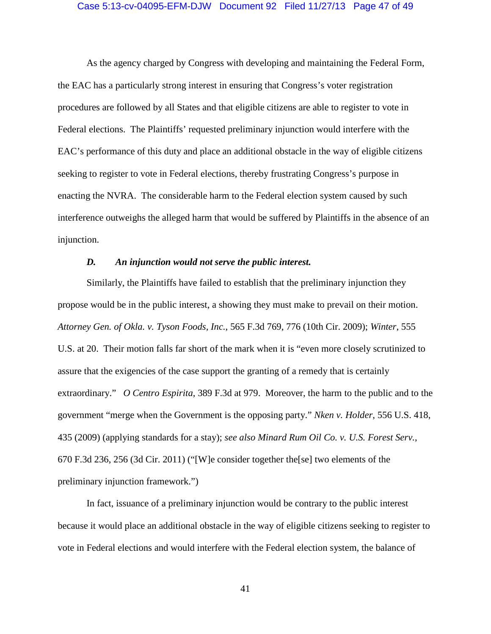### Case 5:13-cv-04095-EFM-DJW Document 92 Filed 11/27/13 Page 47 of 49

As the agency charged by Congress with developing and maintaining the Federal Form, the EAC has a particularly strong interest in ensuring that Congress's voter registration procedures are followed by all States and that eligible citizens are able to register to vote in Federal elections. The Plaintiffs' requested preliminary injunction would interfere with the EAC's performance of this duty and place an additional obstacle in the way of eligible citizens seeking to register to vote in Federal elections, thereby frustrating Congress's purpose in enacting the NVRA. The considerable harm to the Federal election system caused by such interference outweighs the alleged harm that would be suffered by Plaintiffs in the absence of an injunction.

### *D. An injunction would not serve the public interest.*

<span id="page-46-0"></span>Similarly, the Plaintiffs have failed to establish that the preliminary injunction they propose would be in the public interest, a showing they must make to prevail on their motion. *Attorney Gen. of Okla. v. Tyson Foods, Inc.*, 565 F.3d 769, 776 (10th Cir. 2009); *Winter*, 555 U.S. at 20. Their motion falls far short of the mark when it is "even more closely scrutinized to assure that the exigencies of the case support the granting of a remedy that is certainly extraordinary." *O Centro Espirita*, 389 F.3d at 979. Moreover, the harm to the public and to the government "merge when the Government is the opposing party." *Nken v. Holder*, 556 U.S. 418, 435 (2009) (applying standards for a stay); *see also Minard Rum Oil Co. v. U.S. Forest Serv.*, 670 F.3d 236, 256 (3d Cir. 2011) ("[W]e consider together the[se] two elements of the preliminary injunction framework.")

In fact, issuance of a preliminary injunction would be contrary to the public interest because it would place an additional obstacle in the way of eligible citizens seeking to register to vote in Federal elections and would interfere with the Federal election system, the balance of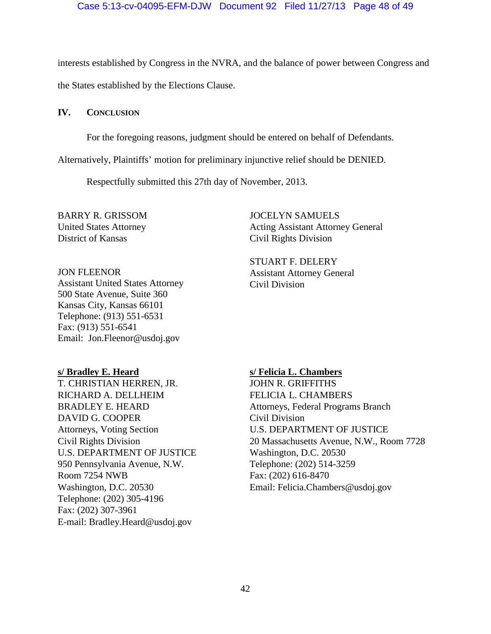# Case 5:13-cv-04095-EFM-DJW Document 92 Filed 11/27/13 Page 48 of 49

interests established by Congress in the NVRA, and the balance of power between Congress and

the States established by the Elections Clause.

<span id="page-47-0"></span>**IV. CONCLUSION**

For the foregoing reasons, judgment should be entered on behalf of Defendants.

Alternatively, Plaintiffs' motion for preliminary injunctive relief should be DENIED.

Respectfully submitted this 27th day of November, 2013.

BARRY R. GRISSOM United States Attorney District of Kansas

JON FLEENOR

Assistant United States Attorney 500 State Avenue, Suite 360 Kansas City, Kansas 66101 Telephone: (913) 551-6531 Fax: (913) 551-6541 Email: Jon.Fleenor@usdoj.gov

**s/ Bradley E. Heard** T. CHRISTIAN HERREN, JR. RICHARD A. DELLHEIM BRADLEY E. HEARD DAVID G. COOPER Attorneys, Voting Section Civil Rights Division U.S. DEPARTMENT OF JUSTICE 950 Pennsylvania Avenue, N.W. Room 7254 NWB Washington, D.C. 20530 Telephone: (202) 305-4196 Fax: (202) 307-3961 E-mail: Bradley.Heard@usdoj.gov

JOCELYN SAMUELS Acting Assistant Attorney General Civil Rights Division

STUART F. DELERY Assistant Attorney General Civil Division

# **s/ Felicia L. Chambers**

JOHN R. GRIFFITHS FELICIA L. CHAMBERS Attorneys, Federal Programs Branch Civil Division U.S. DEPARTMENT OF JUSTICE 20 Massachusetts Avenue, N.W., Room 7728 Washington, D.C. 20530 Telephone: (202) 514-3259 Fax: (202) 616-8470 Email: Felicia.Chambers@usdoj.gov